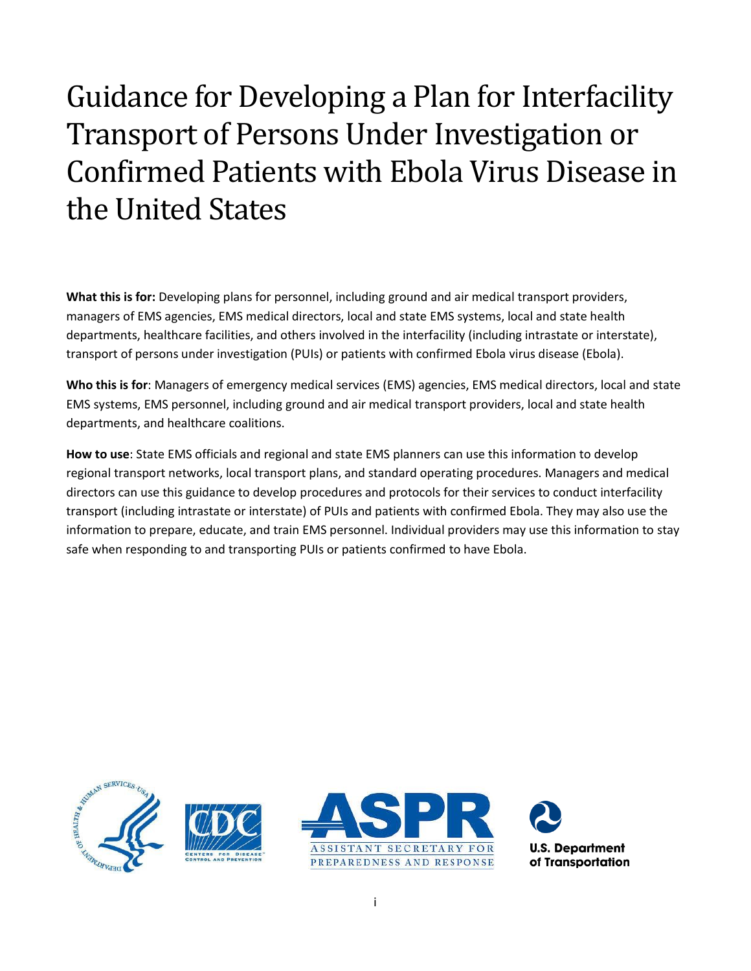# Guidance for Developing a Plan for Interfacility Transport of Persons Under Investigation or Confirmed Patients with Ebola Virus Disease in the United States

**What this is for:** Developing plans for personnel, including ground and air medical transport providers, managers of EMS agencies, EMS medical directors, local and state EMS systems, local and state health departments, healthcare facilities, and others involved in the interfacility (including intrastate or interstate), transport of persons under investigation (PUIs) or patients with confirmed Ebola virus disease (Ebola).

**Who this is for**: Managers of emergency medical services (EMS) agencies, EMS medical directors, local and state EMS systems, EMS personnel, including ground and air medical transport providers, local and state health departments, and healthcare coalitions.

**How to use**: State EMS officials and regional and state EMS planners can use this information to develop regional transport networks, local transport plans, and standard operating procedures. Managers and medical directors can use this guidance to develop procedures and protocols for their services to conduct interfacility transport (including intrastate or interstate) of PUIs and patients with confirmed Ebola. They may also use the information to prepare, educate, and train EMS personnel. Individual providers may use this information to stay safe when responding to and transporting PUIs or patients confirmed to have Ebola.

<span id="page-0-0"></span>





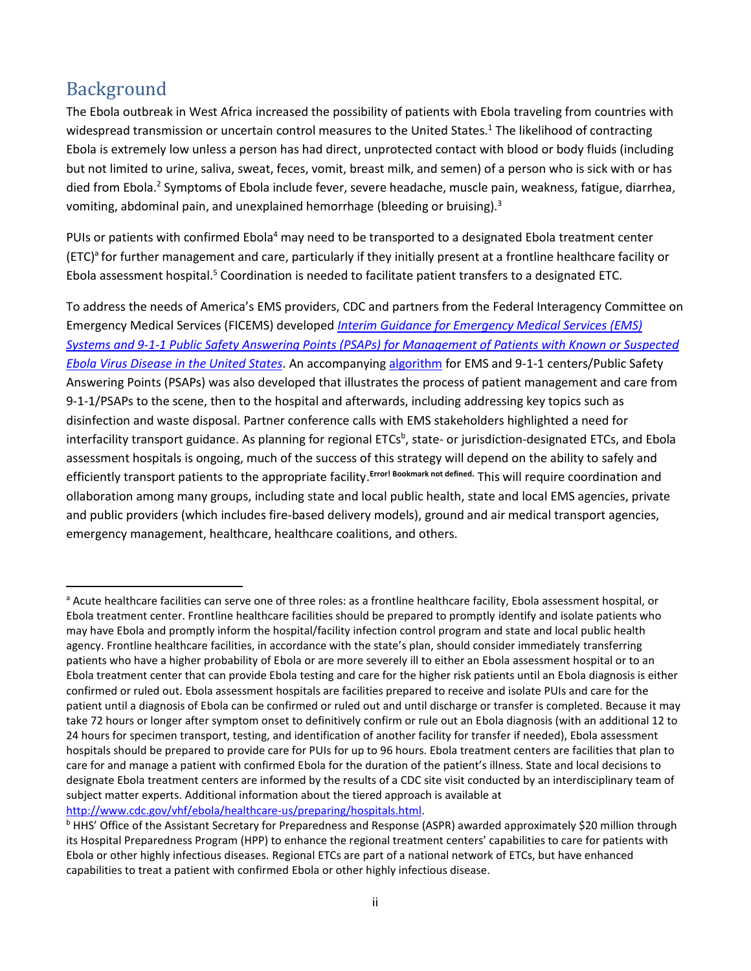## Background

 $\overline{\phantom{a}}$ 

The Ebola outbreak in West Africa increased the possibility of patients with Ebola traveling from countries with widespread transmission or uncertain control measures to the United States.<sup>1</sup> The likelihood of contracting Ebola is extremely low unless a person has had direct, unprotected contact with blood or body fluids (including but not limited to urine, saliva, sweat, feces, vomit, breast milk, and semen) of a person who is sick with or has died from Ebola.<sup>2</sup> Symptoms of Ebola include fever, severe headache, muscle pain, weakness, fatigue, diarrhea, vomiting, abdominal pain, and unexplained hemorrhage (bleeding or bruising).<sup>3</sup>

PUIs or patients with confirmed Ebola<sup>4</sup> may need to be transported to a designated Ebola treatment center (ETC)<sup>a</sup> for further management and care, particularly if they initially present at a frontline healthcare facility or Ebola assessment hospital.<sup>5</sup> Coordination is needed to facilitate patient transfers to a designated ETC.

To address the needs of America's EMS providers, CDC and partners from the Federal Interagency Committee on Emergency Medical Services (FICEMS) developed *[Interim Guidance for Emergency Medical Services \(EMS\)](http://www.cdc.gov/vhf/ebola/healthcare-us/emergency-services/ems-systems.html)  [Systems and 9-1-1 Public Safety Answering Points \(PSAPs\) for Management of Patients with Known or Suspected](http://www.cdc.gov/vhf/ebola/healthcare-us/emergency-services/ems-systems.html)  [Ebola Virus Disease in the United States](http://www.cdc.gov/vhf/ebola/healthcare-us/emergency-services/ems-systems.html)*. An accompanying [algorithm](http://www.cdc.gov/vhf/ebola/pdf/ems-911-patients-with-possible-ebola.pdf) for EMS and 9-1-1 centers/Public Safety Answering Points (PSAPs) was also developed that illustrates the process of patient management and care from 9-1-1/PSAPs to the scene, then to the hospital and afterwards, including addressing key topics such as disinfection and waste disposal. Partner conference calls with EMS stakeholders highlighted a need for interfacility transport guidance. As planning for regional ETCs<sup>b</sup>, state- or jurisdiction-designated ETCs, and Ebola assessment hospitals is ongoing, much of the success of this strategy will depend on the ability to safely and efficiently transport patients to the appropriate facility.<sup>Error! Bookmark not defined.</sup> This will require coordination and ollaboration among many groups, including state and local public health, state and local EMS agencies, private and public providers (which includes fire-based delivery models), ground and air medical transport agencies, emergency management, healthcare, healthcare coalitions, and others.

a Acute healthcare facilities can serve one of three roles: as a frontline healthcare facility, Ebola assessment hospital, or Ebola treatment center. Frontline healthcare facilities should be prepared to promptly identify and isolate patients who may have Ebola and promptly inform the hospital/facility infection control program and state and local public health agency. Frontline healthcare facilities, in accordance with the state's plan, should consider immediately transferring patients who have a higher probability of Ebola or are more severely ill to either an Ebola assessment hospital or to an Ebola treatment center that can provide Ebola testing and care for the higher risk patients until an Ebola diagnosis is either confirmed or ruled out. Ebola assessment hospitals are facilities prepared to receive and isolate PUIs and care for the patient until a diagnosis of Ebola can be confirmed or ruled out and until discharge or transfer is completed. Because it may take 72 hours or longer after symptom onset to definitively confirm or rule out an Ebola diagnosis (with an additional 12 to 24 hours for specimen transport, testing, and identification of another facility for transfer if needed), Ebola assessment hospitals should be prepared to provide care for PUIs for up to 96 hours. Ebola treatment centers are facilities that plan to care for and manage a patient with confirmed Ebola for the duration of the patient's illness. State and local decisions to designate Ebola treatment centers are informed by the results of a CDC site visit conducted by an interdisciplinary team of subject matter experts. Additional information about the tiered approach is available at [http://www.cdc.gov/vhf/ebola/healthcare-us/preparing/hospitals.html.](http://www.cdc.gov/vhf/ebola/healthcare-us/preparing/hospitals.html)

<sup>&</sup>lt;sup>b</sup> HHS' Office of the Assistant Secretary for Preparedness and Response (ASPR) awarded approximately \$20 million through its Hospital Preparedness Program (HPP) to enhance the regional treatment centers' capabilities to care for patients with Ebola or other highly infectious diseases. Regional ETCs are part of a national network of ETCs, but have enhanced capabilities to treat a patient with confirmed Ebola or other highly infectious disease.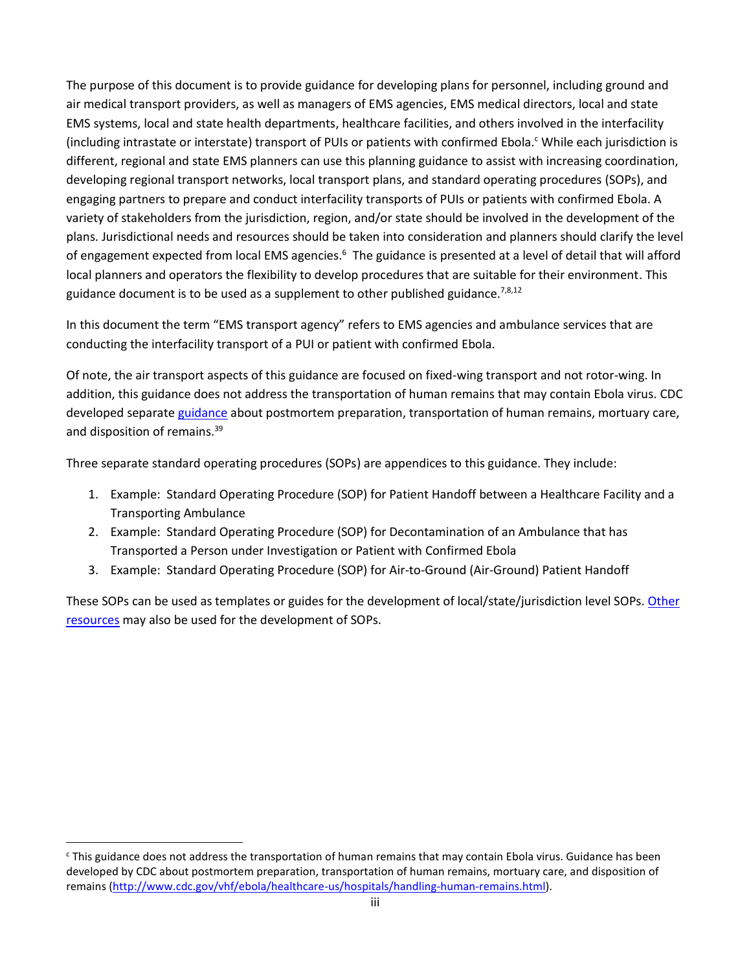The purpose of this document is to provide guidance for developing plans for personnel, including ground and air medical transport providers, as well as managers of EMS agencies, EMS medical directors, local and state EMS systems, local and state health departments, healthcare facilities, and others involved in the interfacility (including intrastate or interstate) transport of PUIs or patients with confirmed Ebola.<sup>c</sup> While each jurisdiction is different, regional and state EMS planners can use this planning guidance to assist with increasing coordination, developing regional transport networks, local transport plans, and standard operating procedures (SOPs), and engaging partners to prepare and conduct interfacility transports of PUIs or patients with confirmed Ebola. A variety of stakeholders from the jurisdiction, region, and/or state should be involved in the development of the plans. Jurisdictional needs and resources should be taken into consideration and planners should clarify the level of engagement expected from local EMS agencies.<sup>6</sup> The guidance is presented at a level of detail that will afford local planners and operators the flexibility to develop procedures that are suitable for their environment. This guidance document is to be used as a supplement to other published guidance.<sup>[7,8,](#page-14-0)[12](#page-18-0)</sup>

In this document the term "EMS transport agency" refers to EMS agencies and ambulance services that are conducting the interfacility transport of a PUI or patient with confirmed Ebola.

Of note, the air transport aspects of this guidance are focused on fixed-wing transport and not rotor-wing. In addition, this guidance does not address the transportation of human remains that may contain Ebola virus. CDC developed separate [guidance](http://www.cdc.gov/vhf/ebola/healthcare-us/hospitals/handling-human-remains.html) about postmortem preparation, transportation of human remains, mortuary care, and disposition of remains.<sup>[39](#page-35-0)</sup>

Three separate standard operating procedures (SOPs) are appendices to this guidance. They include:

- 1. Example: Standard Operating Procedure (SOP) for Patient Handoff between a Healthcare Facility and a Transporting Ambulance
- 2. Example: Standard Operating Procedure (SOP) for Decontamination of an Ambulance that has Transported a Person under Investigation or Patient with Confirmed Ebola
- 3. Example: Standard Operating Procedure (SOP) for Air-to-Ground (Air-Ground) Patient Handoff

These SOPs can be used as templates or guides for the development of local/state/jurisdiction level SOPs. [Other](http://www.phe.gov/Preparedness/responders/ebola/Pages/air-transport-factsheet.aspx)  [resources](http://www.phe.gov/Preparedness/responders/ebola/Pages/air-transport-factsheet.aspx) may also be used for the development of SOPs.

 $\overline{a}$ 

<sup>c</sup> This guidance does not address the transportation of human remains that may contain Ebola virus. Guidance has been developed by CDC about postmortem preparation, transportation of human remains, mortuary care, and disposition of remains [\(http://www.cdc.gov/vhf/ebola/healthcare-us/hospitals/handling-human-remains.html\)](http://www.cdc.gov/vhf/ebola/healthcare-us/hospitals/handling-human-remains.html).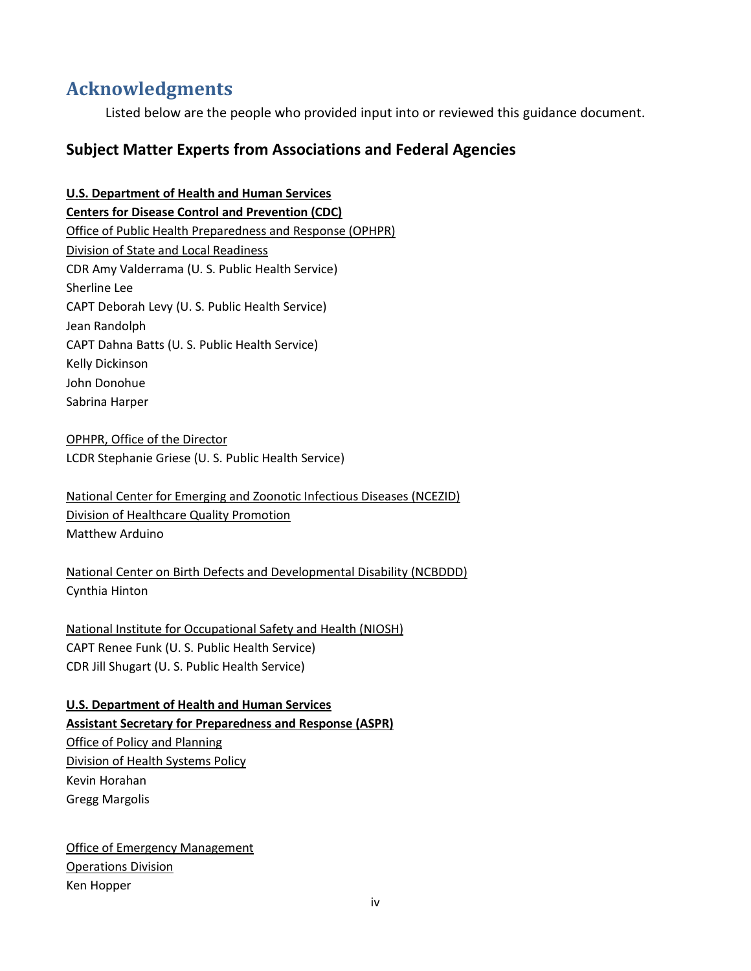## <span id="page-3-0"></span>**Acknowledgments**

Listed below are the people who provided input into or reviewed this guidance document.

## **Subject Matter Experts from Associations and Federal Agencies**

## **U.S. Department of Health and Human Services Centers for Disease Control and Prevention (CDC)** Office of Public Health Preparedness and Response (OPHPR) Division of State and Local Readiness CDR Amy Valderrama (U. S. Public Health Service) Sherline Lee CAPT Deborah Levy (U. S. Public Health Service) Jean Randolph CAPT Dahna Batts (U. S. Public Health Service) Kelly Dickinson John Donohue Sabrina Harper

OPHPR, Office of the Director LCDR Stephanie Griese (U. S. Public Health Service)

National Center for Emerging and Zoonotic Infectious Diseases (NCEZID) Division of Healthcare Quality Promotion Matthew Arduino

National Center on Birth Defects and Developmental Disability (NCBDDD) Cynthia Hinton

National Institute for Occupational Safety and Health (NIOSH) CAPT Renee Funk (U. S. Public Health Service) CDR Jill Shugart (U. S. Public Health Service)

#### **U.S. Department of Health and Human Services**

## **Assistant Secretary for Preparedness and Response (ASPR)**

Office of Policy and Planning Division of Health Systems Policy Kevin Horahan Gregg Margolis

**Office of Emergency Management** Operations Division Ken Hopper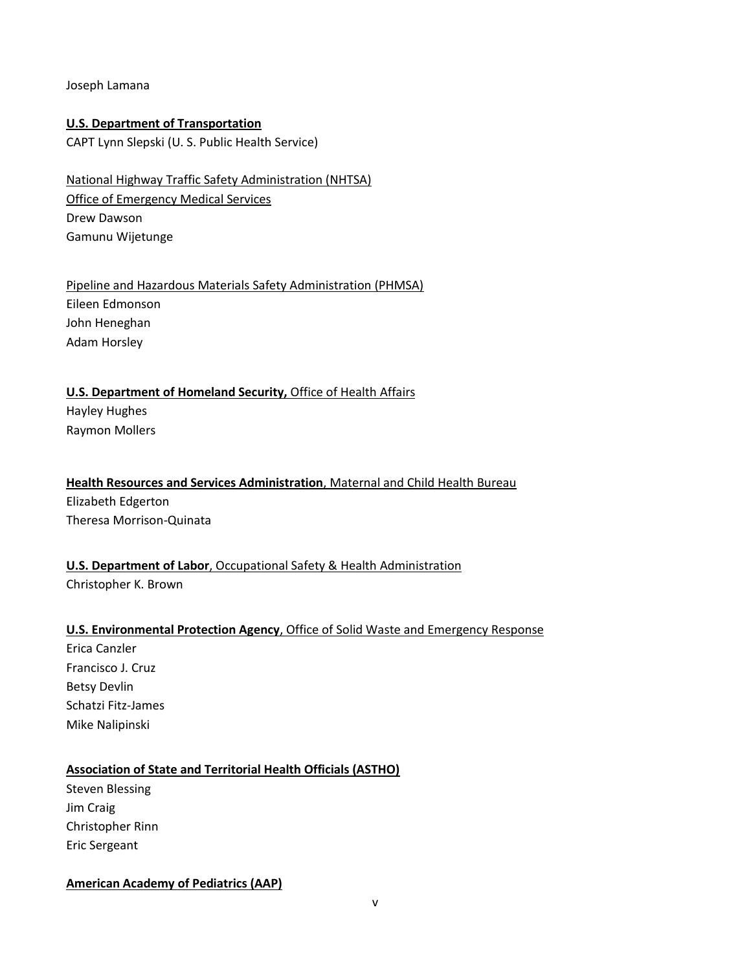Joseph Lamana

### **U.S. Department of Transportation**

CAPT Lynn Slepski (U. S. Public Health Service)

### National Highway Traffic Safety Administration (NHTSA) Office of Emergency Medical Services Drew Dawson Gamunu Wijetunge

Pipeline and Hazardous Materials Safety Administration (PHMSA) Eileen Edmonson John Heneghan Adam Horsley

#### **U.S. Department of Homeland Security,** Office of Health Affairs Hayley Hughes

Raymon Mollers

#### **Health Resources and Services Administration**, Maternal and Child Health Bureau Elizabeth Edgerton

Theresa Morrison-Quinata

#### **U.S. Department of Labor**, Occupational Safety & Health Administration Christopher K. Brown

#### **U.S. Environmental Protection Agency**, Office of Solid Waste and Emergency Response

Erica Canzler Francisco J. Cruz Betsy Devlin Schatzi Fitz-James Mike Nalipinski

#### **Association of State and Territorial Health Officials (ASTHO)**

Steven Blessing Jim Craig Christopher Rinn Eric Sergeant

#### **American Academy of Pediatrics (AAP)**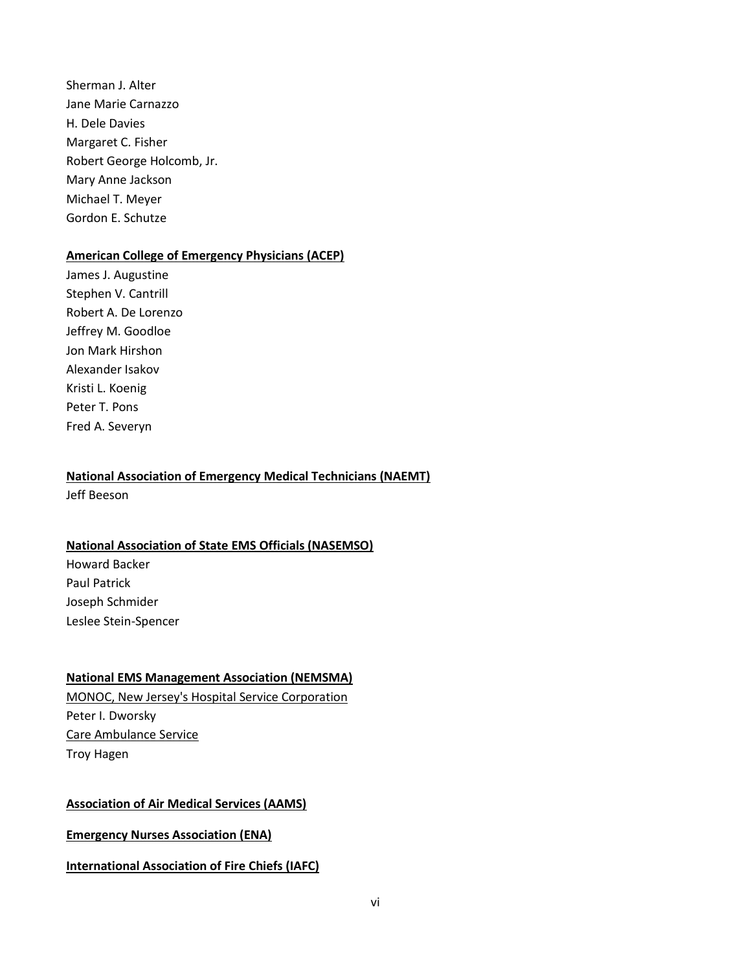Sherman J. Alter Jane Marie Carnazzo H. Dele Davies Margaret C. Fisher Robert George Holcomb, Jr. Mary Anne Jackson Michael T. Meyer Gordon E. Schutze

#### **American College of Emergency Physicians (ACEP)**

James J. Augustine Stephen V. Cantrill Robert A. De Lorenzo Jeffrey M. Goodloe Jon Mark Hirshon Alexander Isakov Kristi L. Koenig Peter T. Pons Fred A. Severyn

#### **National Association of Emergency Medical Technicians (NAEMT)**

Jeff Beeson

#### **National Association of State EMS Officials (NASEMSO)**

Howard Backer Paul Patrick Joseph Schmider Leslee Stein-Spencer

#### **National EMS Management Association (NEMSMA)**

MONOC, New Jersey's Hospital Service Corporation Peter I. Dworsky Care Ambulance Service Troy Hagen

#### **Association of Air Medical Services (AAMS)**

**Emergency Nurses Association (ENA)**

#### **International Association of Fire Chiefs (IAFC)**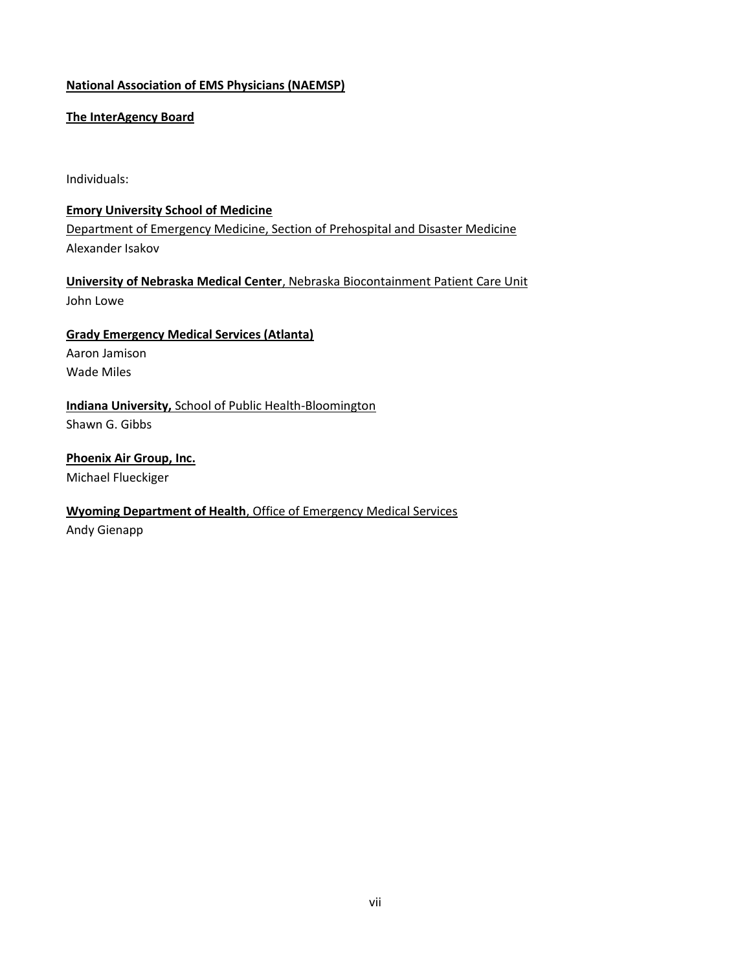#### **National Association of EMS Physicians (NAEMSP)**

#### **The InterAgency Board**

Individuals:

#### **Emory University School of Medicine**

Department of Emergency Medicine, Section of Prehospital and Disaster Medicine Alexander Isakov

**University of Nebraska Medical Center**, Nebraska Biocontainment Patient Care Unit John Lowe

#### **Grady Emergency Medical Services (Atlanta)**

Aaron Jamison Wade Miles

## **Indiana University,** School of Public Health-Bloomington

Shawn G. Gibbs

**Phoenix Air Group, Inc.** Michael Flueckiger

#### **Wyoming Department of Health**, Office of Emergency Medical Services

Andy Gienapp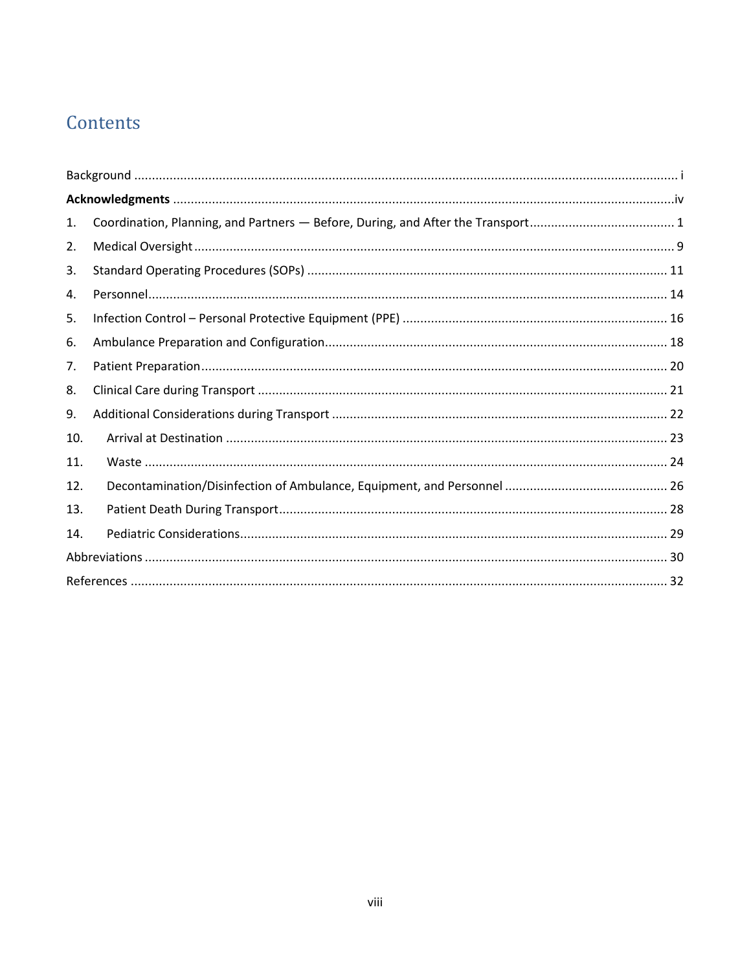## Contents

| 1.  |  |
|-----|--|
| 2.  |  |
| 3.  |  |
| 4.  |  |
| 5.  |  |
| 6.  |  |
| 7.  |  |
| 8.  |  |
| 9.  |  |
| 10. |  |
| 11. |  |
| 12. |  |
| 13. |  |
| 14. |  |
|     |  |
|     |  |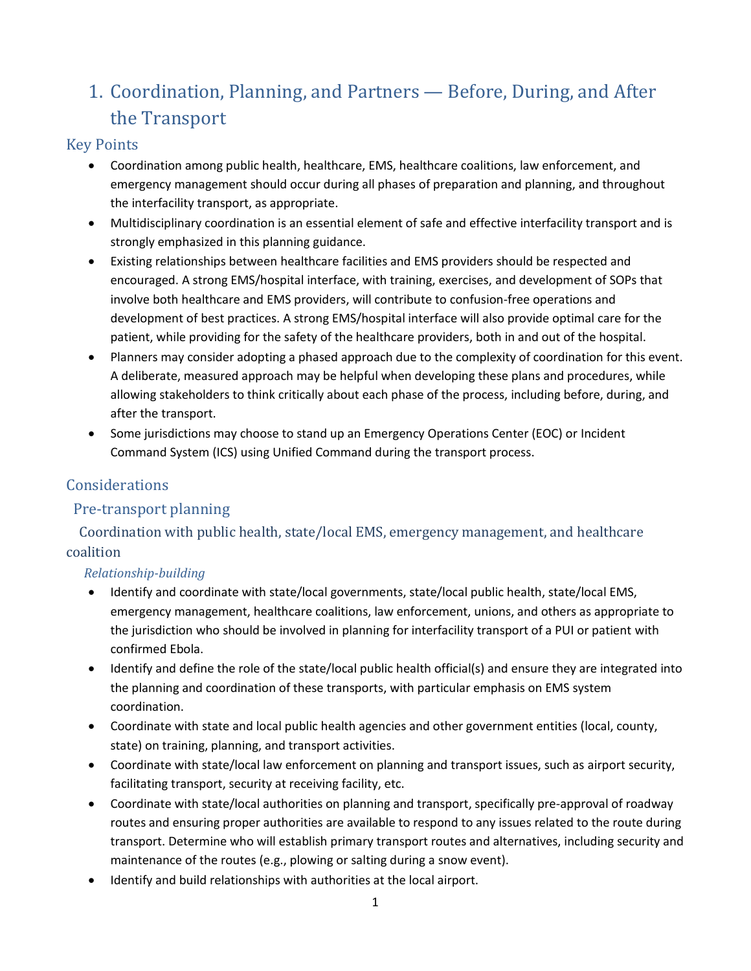## <span id="page-8-0"></span>1. Coordination, Planning, and Partners — Before, During, and After the Transport

## Key Points

- Coordination among public health, healthcare, EMS, healthcare coalitions, law enforcement, and emergency management should occur during all phases of preparation and planning, and throughout the interfacility transport, as appropriate.
- Multidisciplinary coordination is an essential element of safe and effective interfacility transport and is strongly emphasized in this planning guidance.
- Existing relationships between healthcare facilities and EMS providers should be respected and encouraged. A strong EMS/hospital interface, with training, exercises, and development of SOPs that involve both healthcare and EMS providers, will contribute to confusion-free operations and development of best practices. A strong EMS/hospital interface will also provide optimal care for the patient, while providing for the safety of the healthcare providers, both in and out of the hospital.
- Planners may consider adopting a phased approach due to the complexity of coordination for this event. A deliberate, measured approach may be helpful when developing these plans and procedures, while allowing stakeholders to think critically about each phase of the process, including before, during, and after the transport.
- Some jurisdictions may choose to stand up an Emergency Operations Center (EOC) or Incident Command System (ICS) using Unified Command during the transport process.

## Considerations

## Pre-transport planning

 Coordination with public health, state/local EMS, emergency management, and healthcare coalition

## *Relationship-building*

- Identify and coordinate with state/local governments, state/local public health, state/local EMS, emergency management, healthcare coalitions, law enforcement, unions, and others as appropriate to the jurisdiction who should be involved in planning for interfacility transport of a PUI or patient with confirmed Ebola.
- Identify and define the role of the state/local public health official(s) and ensure they are integrated into the planning and coordination of these transports, with particular emphasis on EMS system coordination.
- Coordinate with state and local public health agencies and other government entities (local, county, state) on training, planning, and transport activities.
- Coordinate with state/local law enforcement on planning and transport issues, such as airport security, facilitating transport, security at receiving facility, etc.
- Coordinate with state/local authorities on planning and transport, specifically pre-approval of roadway routes and ensuring proper authorities are available to respond to any issues related to the route during transport. Determine who will establish primary transport routes and alternatives, including security and maintenance of the routes (e.g., plowing or salting during a snow event).
- Identify and build relationships with authorities at the local airport.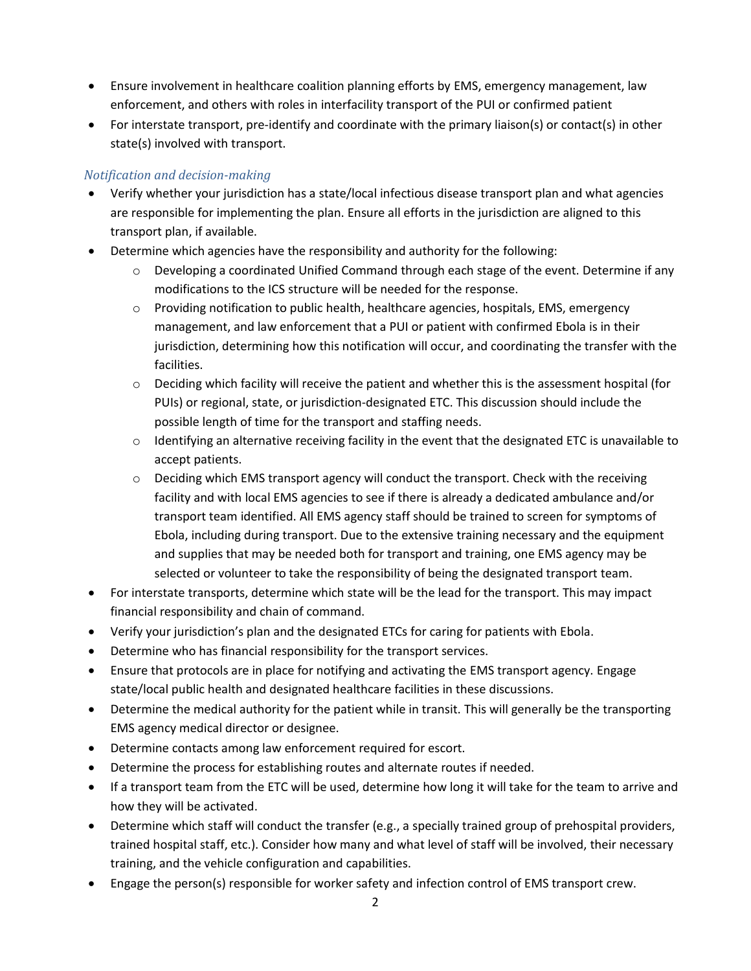- Ensure involvement in healthcare coalition planning efforts by EMS, emergency management, law enforcement, and others with roles in interfacility transport of the PUI or confirmed patient
- For interstate transport, pre-identify and coordinate with the primary liaison(s) or contact(s) in other state(s) involved with transport.

#### *Notification and decision-making*

- Verify whether your jurisdiction has a state/local infectious disease transport plan and what agencies are responsible for implementing the plan. Ensure all efforts in the jurisdiction are aligned to this transport plan, if available.
- Determine which agencies have the responsibility and authority for the following:
	- $\circ$  Developing a coordinated Unified Command through each stage of the event. Determine if any modifications to the ICS structure will be needed for the response.
	- o Providing notification to public health, healthcare agencies, hospitals, EMS, emergency management, and law enforcement that a PUI or patient with confirmed Ebola is in their jurisdiction, determining how this notification will occur, and coordinating the transfer with the facilities.
	- o Deciding which facility will receive the patient and whether this is the assessment hospital (for PUIs) or regional, state, or jurisdiction-designated ETC. This discussion should include the possible length of time for the transport and staffing needs.
	- $\circ$  Identifying an alternative receiving facility in the event that the designated ETC is unavailable to accept patients.
	- o Deciding which EMS transport agency will conduct the transport. Check with the receiving facility and with local EMS agencies to see if there is already a dedicated ambulance and/or transport team identified. All EMS agency staff should be trained to screen for symptoms of Ebola, including during transport. Due to the extensive training necessary and the equipment and supplies that may be needed both for transport and training, one EMS agency may be selected or volunteer to take the responsibility of being the designated transport team.
- For interstate transports, determine which state will be the lead for the transport. This may impact financial responsibility and chain of command.
- Verify your jurisdiction's plan and the designated ETCs for caring for patients with Ebola.
- Determine who has financial responsibility for the transport services.
- Ensure that protocols are in place for notifying and activating the EMS transport agency. Engage state/local public health and designated healthcare facilities in these discussions.
- Determine the medical authority for the patient while in transit. This will generally be the transporting EMS agency medical director or designee.
- Determine contacts among law enforcement required for escort.
- Determine the process for establishing routes and alternate routes if needed.
- If a transport team from the ETC will be used, determine how long it will take for the team to arrive and how they will be activated.
- Determine which staff will conduct the transfer (e.g., a specially trained group of prehospital providers, trained hospital staff, etc.). Consider how many and what level of staff will be involved, their necessary training, and the vehicle configuration and capabilities.
- Engage the person(s) responsible for worker safety and infection control of EMS transport crew.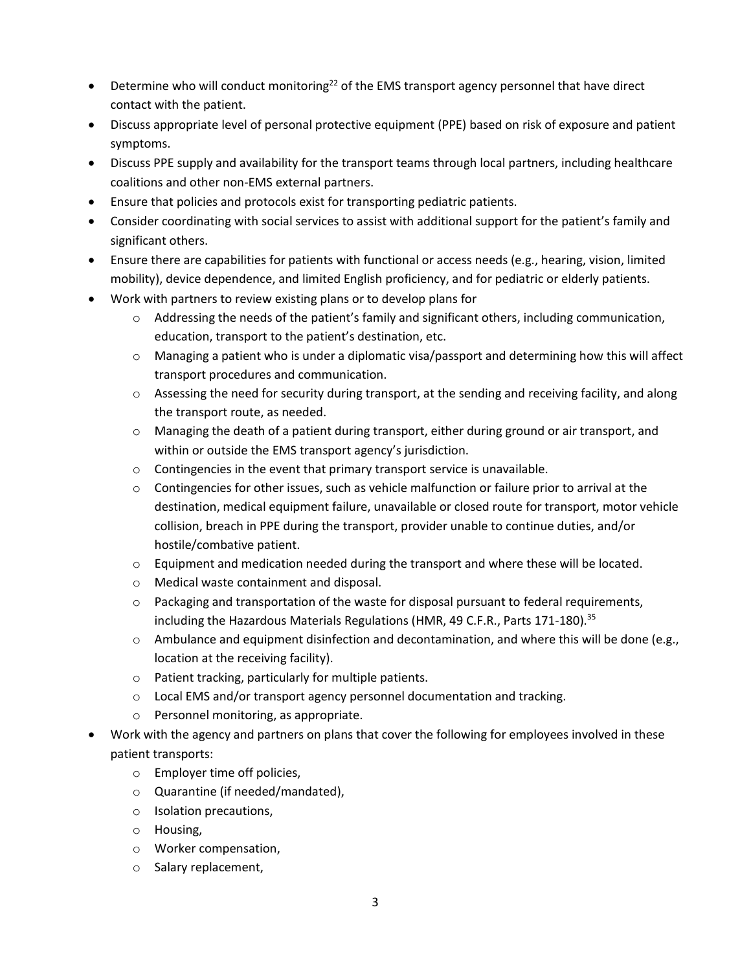- $\bullet$  Determine who will conduct monitoring<sup>[22](#page-22-0)</sup> of the EMS transport agency personnel that have direct contact with the patient.
- Discuss appropriate level of personal protective equipment (PPE) based on risk of exposure and patient symptoms.
- Discuss PPE supply and availability for the transport teams through local partners, including healthcare coalitions and other non-EMS external partners.
- Ensure that policies and protocols exist for transporting pediatric patients.
- Consider coordinating with social services to assist with additional support for the patient's family and significant others.
- Ensure there are capabilities for patients with functional or access needs (e.g., hearing, vision, limited mobility), device dependence, and limited English proficiency, and for pediatric or elderly patients.
- Work with partners to review existing plans or to develop plans for
	- $\circ$  Addressing the needs of the patient's family and significant others, including communication, education, transport to the patient's destination, etc.
	- $\circ$  Managing a patient who is under a diplomatic visa/passport and determining how this will affect transport procedures and communication.
	- $\circ$  Assessing the need for security during transport, at the sending and receiving facility, and along the transport route, as needed.
	- o Managing the death of a patient during transport, either during ground or air transport, and within or outside the EMS transport agency's jurisdiction.
	- o Contingencies in the event that primary transport service is unavailable.
	- $\circ$  Contingencies for other issues, such as vehicle malfunction or failure prior to arrival at the destination, medical equipment failure, unavailable or closed route for transport, motor vehicle collision, breach in PPE during the transport, provider unable to continue duties, and/or hostile/combative patient.
	- o Equipment and medication needed during the transport and where these will be located.
	- o Medical waste containment and disposal.
	- $\circ$  Packaging and transportation of the waste for disposal pursuant to federal requirements, including the Hazardous Materials Regulations (HMR, 49 C.F.R., Parts 171-180).<sup>[35](#page-31-1)</sup>
	- $\circ$  Ambulance and equipment disinfection and decontamination, and where this will be done (e.g., location at the receiving facility).
	- o Patient tracking, particularly for multiple patients.
	- $\circ$  Local EMS and/or transport agency personnel documentation and tracking.
	- o Personnel monitoring, as appropriate.
- Work with the agency and partners on plans that cover the following for employees involved in these patient transports:
	- o Employer time off policies,
	- o Quarantine (if needed/mandated),
	- o Isolation precautions,
	- o Housing,
	- o Worker compensation,
	- o Salary replacement,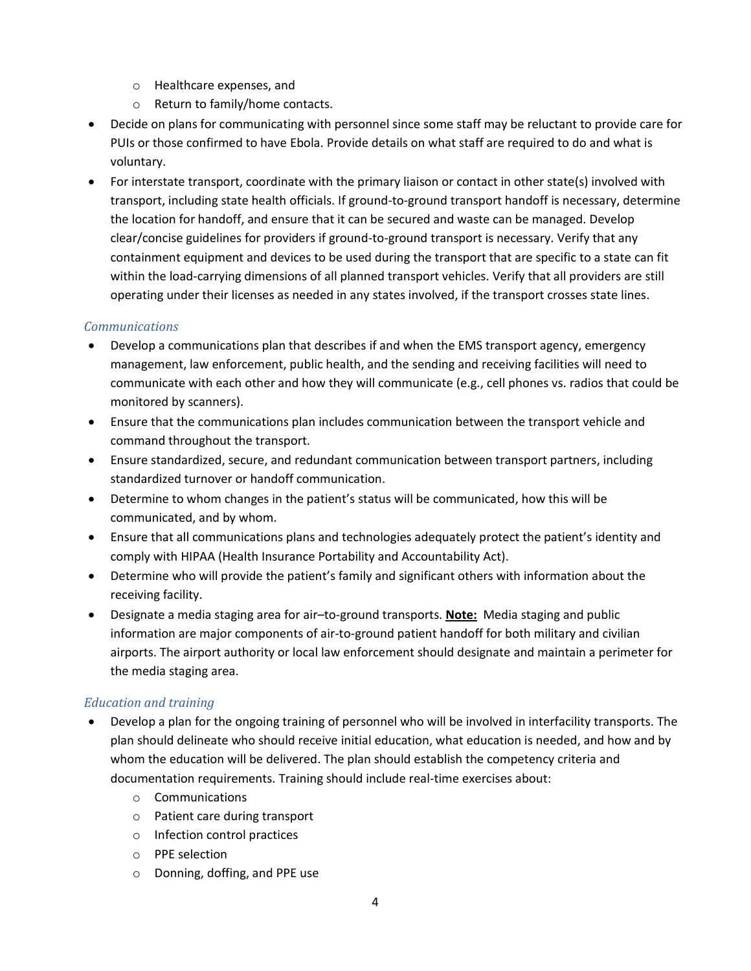- o Healthcare expenses, and
- o Return to family/home contacts.
- Decide on plans for communicating with personnel since some staff may be reluctant to provide care for PUIs or those confirmed to have Ebola. Provide details on what staff are required to do and what is voluntary.
- For interstate transport, coordinate with the primary liaison or contact in other state(s) involved with transport, including state health officials. If ground-to-ground transport handoff is necessary, determine the location for handoff, and ensure that it can be secured and waste can be managed. Develop clear/concise guidelines for providers if ground-to-ground transport is necessary. Verify that any containment equipment and devices to be used during the transport that are specific to a state can fit within the load-carrying dimensions of all planned transport vehicles. Verify that all providers are still operating under their licenses as needed in any states involved, if the transport crosses state lines.

#### *Communications*

- Develop a communications plan that describes if and when the EMS transport agency, emergency management, law enforcement, public health, and the sending and receiving facilities will need to communicate with each other and how they will communicate (e.g., cell phones vs. radios that could be monitored by scanners).
- Ensure that the communications plan includes communication between the transport vehicle and command throughout the transport.
- Ensure standardized, secure, and redundant communication between transport partners, including standardized turnover or handoff communication.
- Determine to whom changes in the patient's status will be communicated, how this will be communicated, and by whom.
- Ensure that all communications plans and technologies adequately protect the patient's identity and comply with HIPAA (Health Insurance Portability and Accountability Act).
- Determine who will provide the patient's family and significant others with information about the receiving facility.
- Designate a media staging area for air–to-ground transports. **Note:** Media staging and public information are major components of air-to-ground patient handoff for both military and civilian airports. The airport authority or local law enforcement should designate and maintain a perimeter for the media staging area.

#### *Education and training*

- Develop a plan for the ongoing training of personnel who will be involved in interfacility transports. The plan should delineate who should receive initial education, what education is needed, and how and by whom the education will be delivered. The plan should establish the competency criteria and documentation requirements. Training should include real-time exercises about:
	- o Communications
	- o Patient care during transport
	- o Infection control practices
	- o PPE selection
	- o Donning, doffing, and PPE use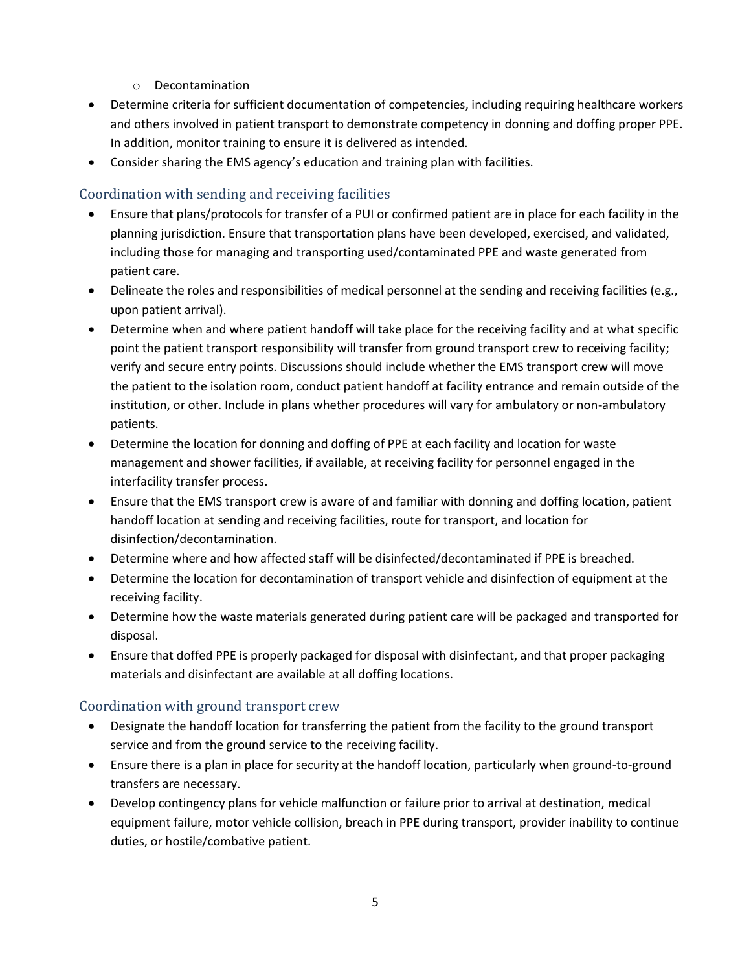- o Decontamination
- Determine criteria for sufficient documentation of competencies, including requiring healthcare workers and others involved in patient transport to demonstrate competency in donning and doffing proper PPE. In addition, monitor training to ensure it is delivered as intended.
- Consider sharing the EMS agency's education and training plan with facilities.

#### Coordination with sending and receiving facilities

- Ensure that plans/protocols for transfer of a PUI or confirmed patient are in place for each facility in the planning jurisdiction. Ensure that transportation plans have been developed, exercised, and validated, including those for managing and transporting used/contaminated PPE and waste generated from patient care.
- Delineate the roles and responsibilities of medical personnel at the sending and receiving facilities (e.g., upon patient arrival).
- Determine when and where patient handoff will take place for the receiving facility and at what specific point the patient transport responsibility will transfer from ground transport crew to receiving facility; verify and secure entry points. Discussions should include whether the EMS transport crew will move the patient to the isolation room, conduct patient handoff at facility entrance and remain outside of the institution, or other. Include in plans whether procedures will vary for ambulatory or non-ambulatory patients.
- Determine the location for donning and doffing of PPE at each facility and location for waste management and shower facilities, if available, at receiving facility for personnel engaged in the interfacility transfer process.
- Ensure that the EMS transport crew is aware of and familiar with donning and doffing location, patient handoff location at sending and receiving facilities, route for transport, and location for disinfection/decontamination.
- Determine where and how affected staff will be disinfected/decontaminated if PPE is breached.
- Determine the location for decontamination of transport vehicle and disinfection of equipment at the receiving facility.
- Determine how the waste materials generated during patient care will be packaged and transported for disposal.
- Ensure that doffed PPE is properly packaged for disposal with disinfectant, and that proper packaging materials and disinfectant are available at all doffing locations.

#### Coordination with ground transport crew

- Designate the handoff location for transferring the patient from the facility to the ground transport service and from the ground service to the receiving facility.
- Ensure there is a plan in place for security at the handoff location, particularly when ground-to-ground transfers are necessary.
- Develop contingency plans for vehicle malfunction or failure prior to arrival at destination, medical equipment failure, motor vehicle collision, breach in PPE during transport, provider inability to continue duties, or hostile/combative patient.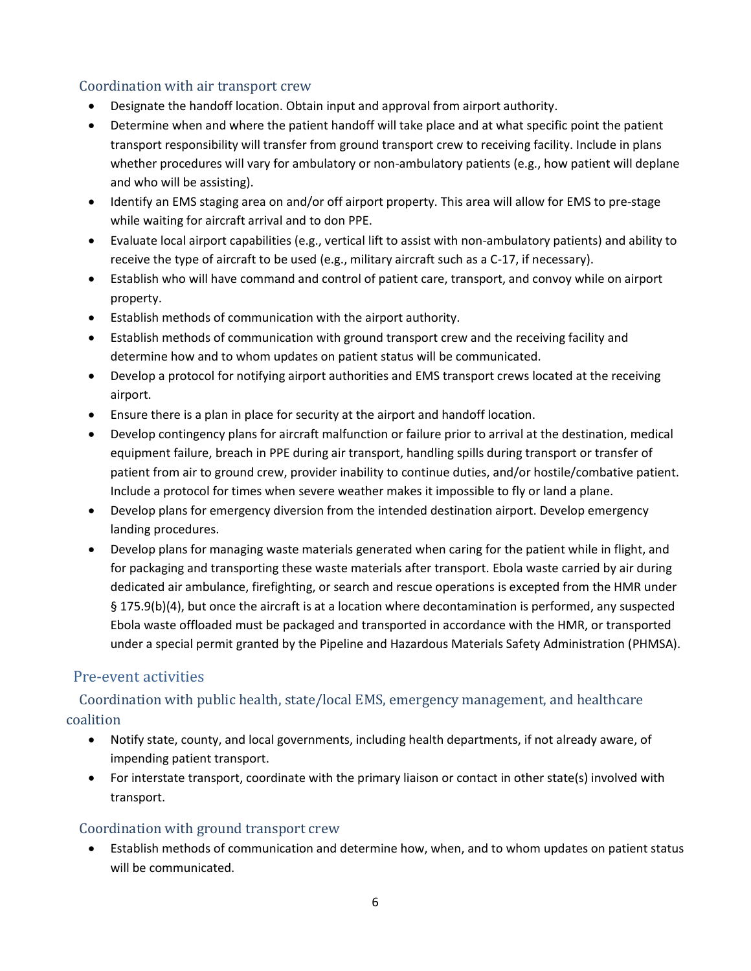#### Coordination with air transport crew

- Designate the handoff location. Obtain input and approval from airport authority.
- Determine when and where the patient handoff will take place and at what specific point the patient transport responsibility will transfer from ground transport crew to receiving facility. Include in plans whether procedures will vary for ambulatory or non-ambulatory patients (e.g., how patient will deplane and who will be assisting).
- Identify an EMS staging area on and/or off airport property. This area will allow for EMS to pre-stage while waiting for aircraft arrival and to don PPE.
- Evaluate local airport capabilities (e.g., vertical lift to assist with non-ambulatory patients) and ability to receive the type of aircraft to be used (e.g., military aircraft such as a C-17, if necessary).
- Establish who will have command and control of patient care, transport, and convoy while on airport property.
- Establish methods of communication with the airport authority.
- Establish methods of communication with ground transport crew and the receiving facility and determine how and to whom updates on patient status will be communicated.
- Develop a protocol for notifying airport authorities and EMS transport crews located at the receiving airport.
- Ensure there is a plan in place for security at the airport and handoff location.
- Develop contingency plans for aircraft malfunction or failure prior to arrival at the destination, medical equipment failure, breach in PPE during air transport, handling spills during transport or transfer of patient from air to ground crew, provider inability to continue duties, and/or hostile/combative patient. Include a protocol for times when severe weather makes it impossible to fly or land a plane.
- Develop plans for emergency diversion from the intended destination airport. Develop emergency landing procedures.
- Develop plans for managing waste materials generated when caring for the patient while in flight, and for packaging and transporting these waste materials after transport. Ebola waste carried by air during dedicated air ambulance, firefighting, or search and rescue operations is excepted from the HMR under § 175.9(b)(4), but once the aircraft is at a location where decontamination is performed, any suspected Ebola waste offloaded must be packaged and transported in accordance with the HMR, or transported under a special permit granted by the Pipeline and Hazardous Materials Safety Administration (PHMSA).

#### Pre-event activities

## Coordination with public health, state/local EMS, emergency management, and healthcare coalition

- Notify state, county, and local governments, including health departments, if not already aware, of impending patient transport.
- For interstate transport, coordinate with the primary liaison or contact in other state(s) involved with transport.

#### Coordination with ground transport crew

 Establish methods of communication and determine how, when, and to whom updates on patient status will be communicated.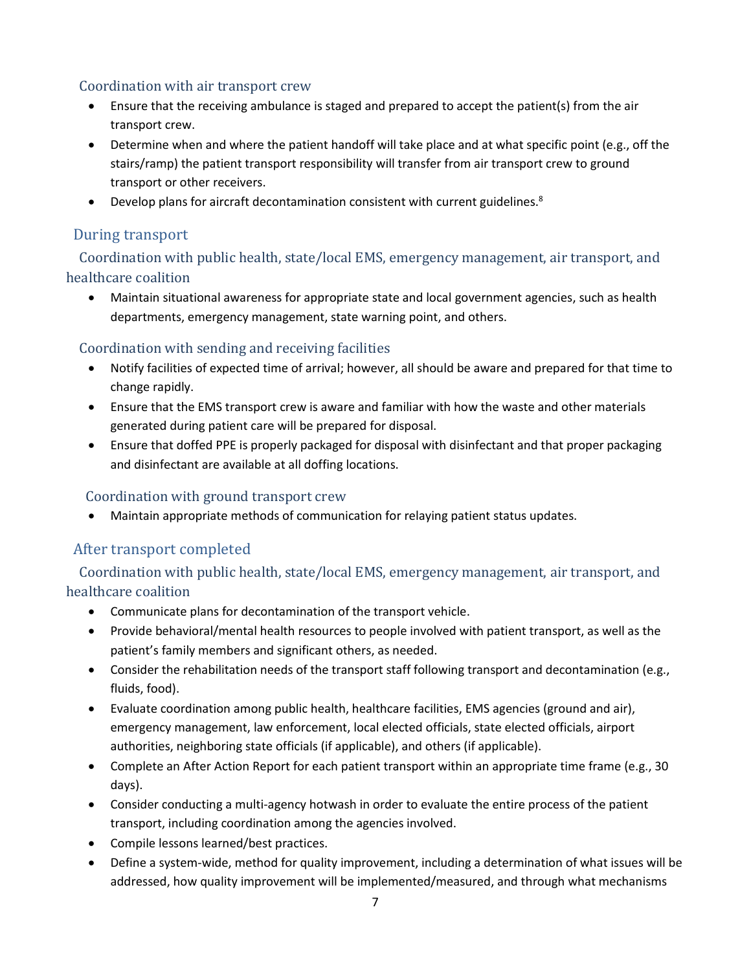#### Coordination with air transport crew

- Ensure that the receiving ambulance is staged and prepared to accept the patient(s) from the air transport crew.
- Determine when and where the patient handoff will take place and at what specific point (e.g., off the stairs/ramp) the patient transport responsibility will transfer from air transport crew to ground transport or other receivers.
- <span id="page-14-0"></span>• Develop plans for aircraft decontamination consistent with current guidelines.<sup>8</sup>

## During transport

 Coordination with public health, state/local EMS, emergency management, air transport, and healthcare coalition

 Maintain situational awareness for appropriate state and local government agencies, such as health departments, emergency management, state warning point, and others.

## Coordination with sending and receiving facilities

- Notify facilities of expected time of arrival; however, all should be aware and prepared for that time to change rapidly.
- Ensure that the EMS transport crew is aware and familiar with how the waste and other materials generated during patient care will be prepared for disposal.
- Ensure that doffed PPE is properly packaged for disposal with disinfectant and that proper packaging and disinfectant are available at all doffing locations.

#### Coordination with ground transport crew

Maintain appropriate methods of communication for relaying patient status updates.

## After transport completed

 Coordination with public health, state/local EMS, emergency management, air transport, and healthcare coalition

- Communicate plans for decontamination of the transport vehicle.
- Provide behavioral/mental health resources to people involved with patient transport, as well as the patient's family members and significant others, as needed.
- Consider the rehabilitation needs of the transport staff following transport and decontamination (e.g., fluids, food).
- Evaluate coordination among public health, healthcare facilities, EMS agencies (ground and air), emergency management, law enforcement, local elected officials, state elected officials, airport authorities, neighboring state officials (if applicable), and others (if applicable).
- Complete an After Action Report for each patient transport within an appropriate time frame (e.g., 30 days).
- Consider conducting a multi-agency hotwash in order to evaluate the entire process of the patient transport, including coordination among the agencies involved.
- Compile lessons learned/best practices.
- Define a system-wide, method for quality improvement, including a determination of what issues will be addressed, how quality improvement will be implemented/measured, and through what mechanisms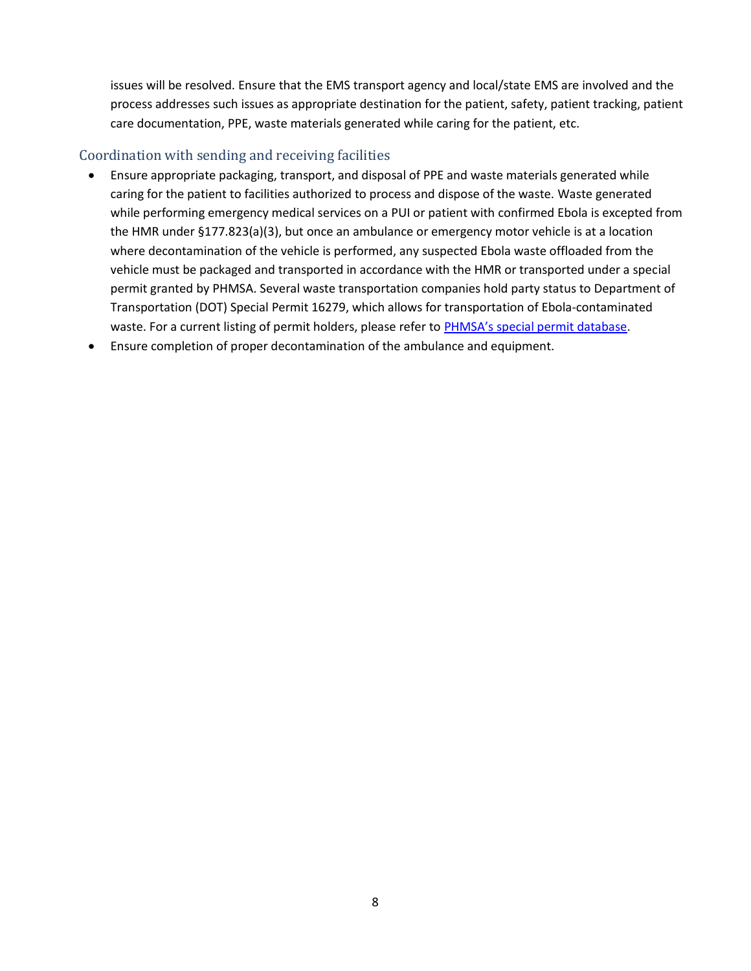issues will be resolved. Ensure that the EMS transport agency and local/state EMS are involved and the process addresses such issues as appropriate destination for the patient, safety, patient tracking, patient care documentation, PPE, waste materials generated while caring for the patient, etc.

### Coordination with sending and receiving facilities

- Ensure appropriate packaging, transport, and disposal of PPE and waste materials generated while caring for the patient to facilities authorized to process and dispose of the waste. Waste generated while performing emergency medical services on a PUI or patient with confirmed Ebola is excepted from the HMR under §177.823(a)(3), but once an ambulance or emergency motor vehicle is at a location where decontamination of the vehicle is performed, any suspected Ebola waste offloaded from the vehicle must be packaged and transported in accordance with the HMR or transported under a special permit granted by PHMSA. Several waste transportation companies hold party status to Department of Transportation (DOT) Special Permit 16279, which allows for transportation of Ebola-contaminated waste. For a current listing of permit holders, please refer to [PHMSA's special pe](http://www.phmsa.dot.gov/hazmat/regs/sp-a/special-permits/search)rmit database.
- Ensure completion of proper decontamination of the ambulance and equipment.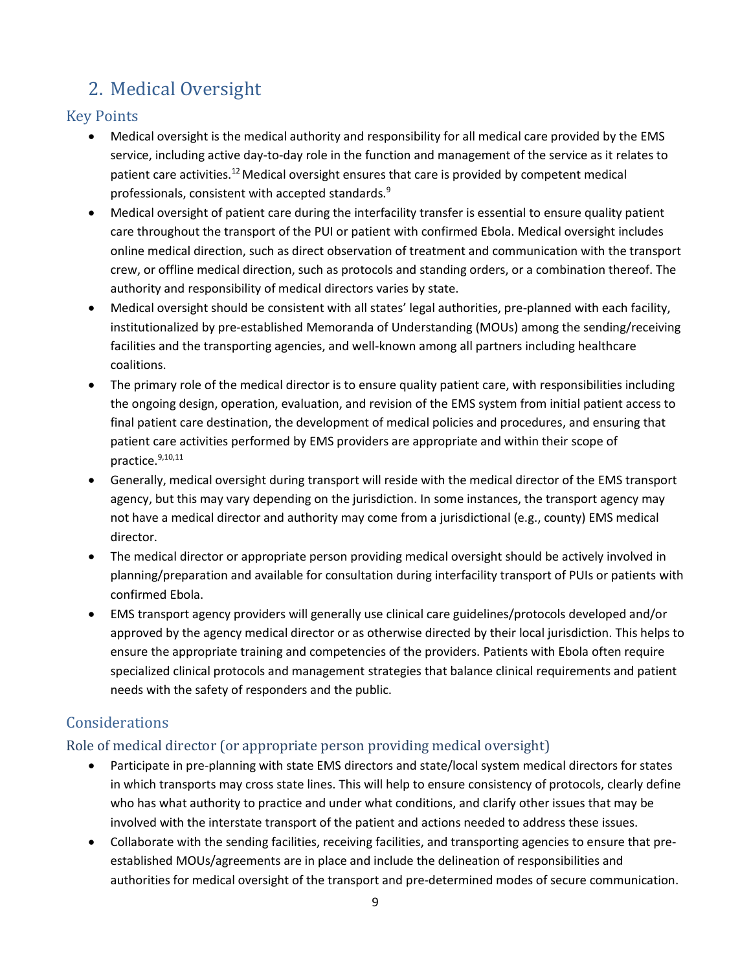## <span id="page-16-0"></span>2. Medical Oversight

## Key Points

- Medical oversight is the medical authority and responsibility for all medical care provided by the EMS service, including active day-to-day role in the function and management of the service as it relates to patient care activities.<sup>[12](#page-18-0)</sup> Medical oversight ensures that care is provided by competent medical professionals, consistent with accepted standards.<sup>9</sup>
- <span id="page-16-1"></span> Medical oversight of patient care during the interfacility transfer is essential to ensure quality patient care throughout the transport of the PUI or patient with confirmed Ebola. Medical oversight includes online medical direction, such as direct observation of treatment and communication with the transport crew, or offline medical direction, such as protocols and standing orders, or a combination thereof. The authority and responsibility of medical directors varies by state.
- Medical oversight should be consistent with all states' legal authorities, pre-planned with each facility, institutionalized by pre-established Memoranda of Understanding (MOUs) among the sending/receiving facilities and the transporting agencies, and well-known among all partners including healthcare coalitions.
- The primary role of the medical director is to ensure quality patient care, with responsibilities including the ongoing design, operation, evaluation, and revision of the EMS system from initial patient access to final patient care destination, the development of medical policies and procedures, and ensuring that patient care activities performed by EMS providers are appropriate and within their scope of practice. [9,1](#page-16-1)0,11
- Generally, medical oversight during transport will reside with the medical director of the EMS transport agency, but this may vary depending on the jurisdiction. In some instances, the transport agency may not have a medical director and authority may come from a jurisdictional (e.g., county) EMS medical director.
- The medical director or appropriate person providing medical oversight should be actively involved in planning/preparation and available for consultation during interfacility transport of PUIs or patients with confirmed Ebola.
- EMS transport agency providers will generally use clinical care guidelines/protocols developed and/or approved by the agency medical director or as otherwise directed by their local jurisdiction. This helps to ensure the appropriate training and competencies of the providers. Patients with Ebola often require specialized clinical protocols and management strategies that balance clinical requirements and patient needs with the safety of responders and the public.

## Considerations

## Role of medical director (or appropriate person providing medical oversight)

- Participate in pre-planning with state EMS directors and state/local system medical directors for states in which transports may cross state lines. This will help to ensure consistency of protocols, clearly define who has what authority to practice and under what conditions, and clarify other issues that may be involved with the interstate transport of the patient and actions needed to address these issues.
- Collaborate with the sending facilities, receiving facilities, and transporting agencies to ensure that preestablished MOUs/agreements are in place and include the delineation of responsibilities and authorities for medical oversight of the transport and pre-determined modes of secure communication.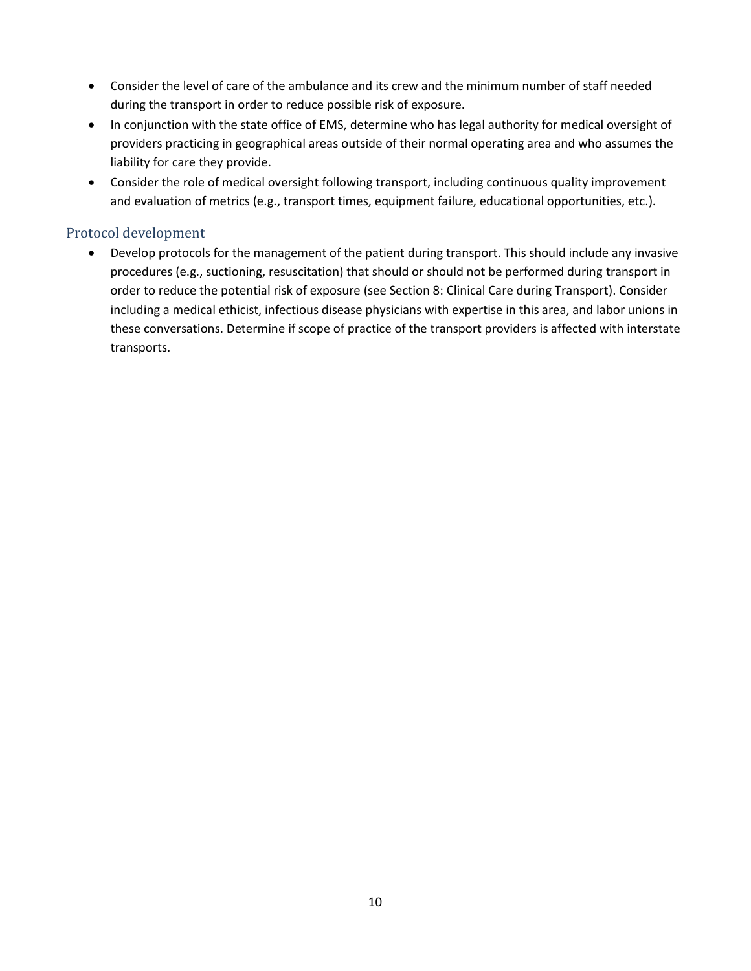- Consider the level of care of the ambulance and its crew and the minimum number of staff needed during the transport in order to reduce possible risk of exposure.
- In conjunction with the state office of EMS, determine who has legal authority for medical oversight of providers practicing in geographical areas outside of their normal operating area and who assumes the liability for care they provide.
- Consider the role of medical oversight following transport, including continuous quality improvement and evaluation of metrics (e.g., transport times, equipment failure, educational opportunities, etc.).

#### Protocol development

 Develop protocols for the management of the patient during transport. This should include any invasive procedures (e.g., suctioning, resuscitation) that should or should not be performed during transport in order to reduce the potential risk of exposure (see Section 8: Clinical Care during Transport). Consider including a medical ethicist, infectious disease physicians with expertise in this area, and labor unions in these conversations. Determine if scope of practice of the transport providers is affected with interstate transports.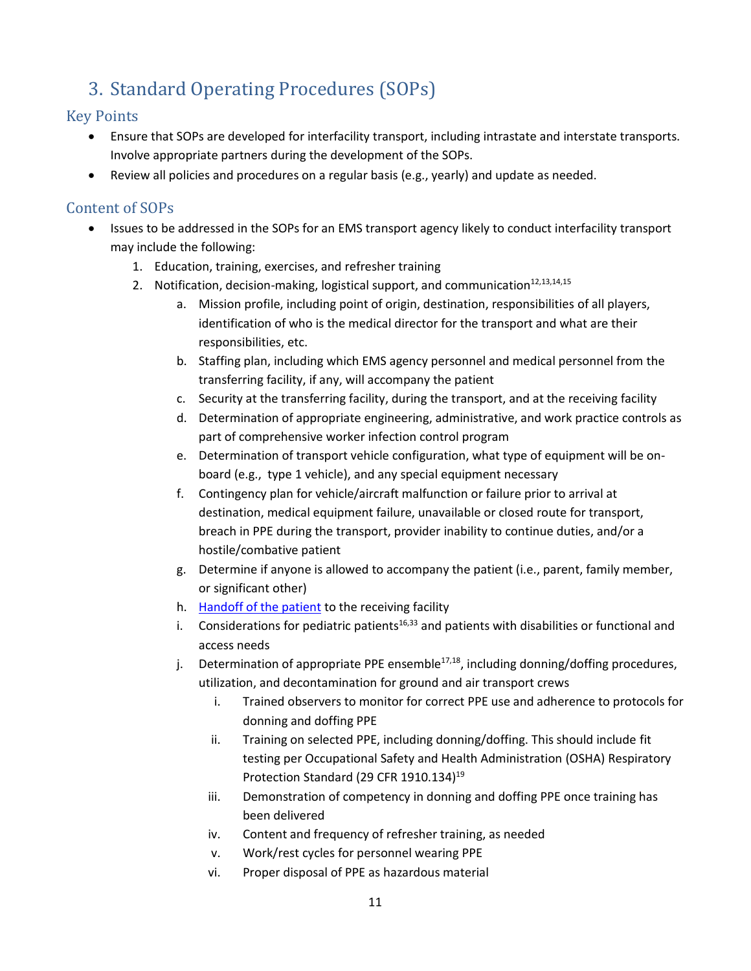## <span id="page-18-1"></span>3. Standard Operating Procedures (SOPs)

## Key Points

- Ensure that SOPs are developed for interfacility transport, including intrastate and interstate transports. Involve appropriate partners during the development of the SOPs.
- Review all policies and procedures on a regular basis (e.g., yearly) and update as needed.

## Content of SOPs

- <span id="page-18-3"></span><span id="page-18-2"></span><span id="page-18-0"></span>• Issues to be addressed in the SOPs for an EMS transport agency likely to conduct interfacility transport may include the following:
	- 1. Education, training, exercises, and refresher training
	- 2. Notification, decision-making, logistical support, and communication $12,13,14,15$ 
		- a. Mission profile, including point of origin, destination, responsibilities of all players, identification of who is the medical director for the transport and what are their responsibilities, etc.
		- b. Staffing plan, including which EMS agency personnel and medical personnel from the transferring facility, if any, will accompany the patient
		- c. Security at the transferring facility, during the transport, and at the receiving facility
		- d. Determination of appropriate engineering, administrative, and work practice controls as part of comprehensive worker infection control program
		- e. Determination of transport vehicle configuration, what type of equipment will be onboard (e.g., type 1 vehicle), and any special equipment necessary
		- f. Contingency plan for vehicle/aircraft malfunction or failure prior to arrival at destination, medical equipment failure, unavailable or closed route for transport, breach in PPE during the transport, provider inability to continue duties, and/or a hostile/combative patient
		- g. Determine if anyone is allowed to accompany the patient (i.e., parent, family member, or significant other)
		- h. [Handoff of the patient](http://www.cdc.gov/vhf/ebola/healthcare-us/emergency-services/patient-handoff.html) to the receiving facility
		- i. Considerations for pediatric patients<sup>1[6,33](#page-29-1)</sup> and patients with disabilities or functional and access needs
		- j. Determination of appropriate PPE ensemble<sup>17,18</sup>, including donning/doffing procedures, utilization, and decontamination for ground and air transport crews
			- i. Trained observers to monitor for correct PPE use and adherence to protocols for donning and doffing PPE
			- ii. Training on selected PPE, including donning/doffing. This should include fit testing per Occupational Safety and Health Administration (OSHA) Respiratory Protection Standard (29 CFR 1910.134)<sup>19</sup>
			- iii. Demonstration of competency in donning and doffing PPE once training has been delivered
			- iv. Content and frequency of refresher training, as needed
			- v. Work/rest cycles for personnel wearing PPE
			- vi. Proper disposal of PPE as hazardous material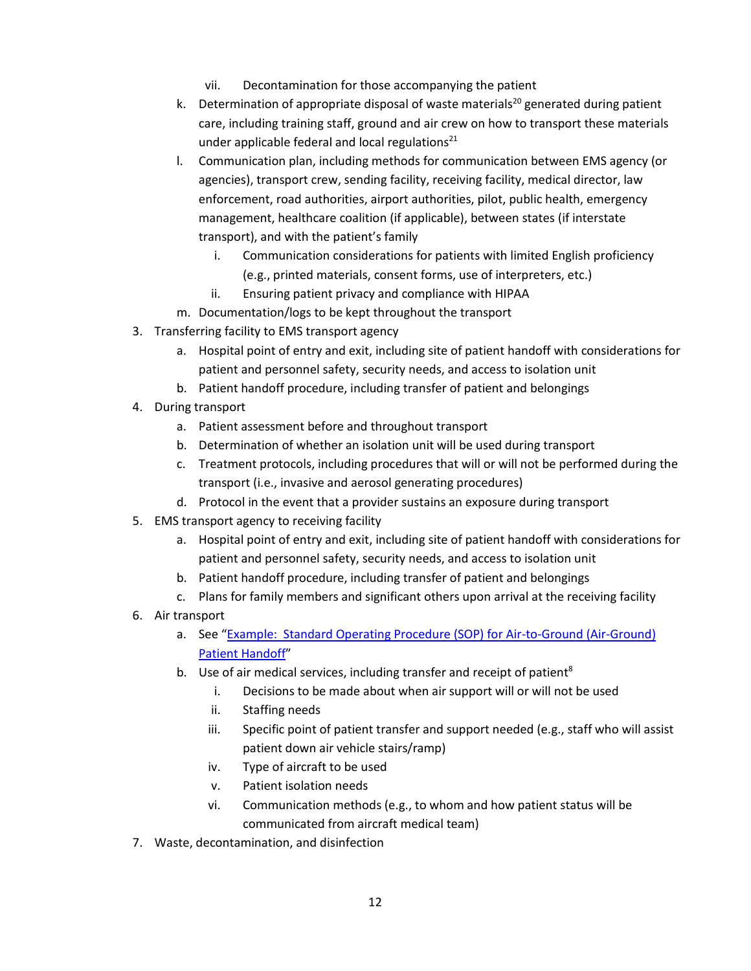- vii. Decontamination for those accompanying the patient
- k. Determination of appropriate disposal of waste materials<sup>20</sup> generated during patient care, including training staff, ground and air crew on how to transport these materials under applicable federal and local regulations<sup>21</sup>
- l. Communication plan, including methods for communication between EMS agency (or agencies), transport crew, sending facility, receiving facility, medical director, law enforcement, road authorities, airport authorities, pilot, public health, emergency management, healthcare coalition (if applicable), between states (if interstate transport), and with the patient's family
	- i. Communication considerations for patients with limited English proficiency (e.g., printed materials, consent forms, use of interpreters, etc.)
	- ii. Ensuring patient privacy and compliance with HIPAA
- m. Documentation/logs to be kept throughout the transport
- 3. Transferring facility to EMS transport agency
	- a. Hospital point of entry and exit, including site of patient handoff with considerations for patient and personnel safety, security needs, and access to isolation unit
	- b. Patient handoff procedure, including transfer of patient and belongings
- 4. During transport
	- a. Patient assessment before and throughout transport
	- b. Determination of whether an isolation unit will be used during transport
	- c. Treatment protocols, including procedures that will or will not be performed during the transport (i.e., invasive and aerosol generating procedures)
	- d. Protocol in the event that a provider sustains an exposure during transport
- 5. EMS transport agency to receiving facility
	- a. Hospital point of entry and exit, including site of patient handoff with considerations for patient and personnel safety, security needs, and access to isolation unit
	- b. Patient handoff procedure, including transfer of patient and belongings
	- c. Plans for family members and significant others upon arrival at the receiving facility
- 6. Air transport
	- a. See "[Example: Standard Operating Procedure \(SOP\) for Air-to-Ground \(Air-Ground\)](http://www.cdc.gov/vhf/ebola/healthcare-us/emergency-services/air-ground-patient-handoff.html)  Patient [Handoff](http://www.cdc.gov/vhf/ebola/healthcare-us/emergency-services/air-ground-patient-handoff.html)"
	- b. Use of air medical services, including [t](#page-14-0)ransfer and receipt of patient<sup>8</sup>
		- i. Decisions to be made about when air support will or will not be used
		- ii. Staffing needs
		- iii. Specific point of patient transfer and support needed (e.g., staff who will assist patient down air vehicle stairs/ramp)
		- iv. Type of aircraft to be used
		- v. Patient isolation needs
		- vi. Communication methods (e.g., to whom and how patient status will be communicated from aircraft medical team)
- 7. Waste, decontamination, and disinfection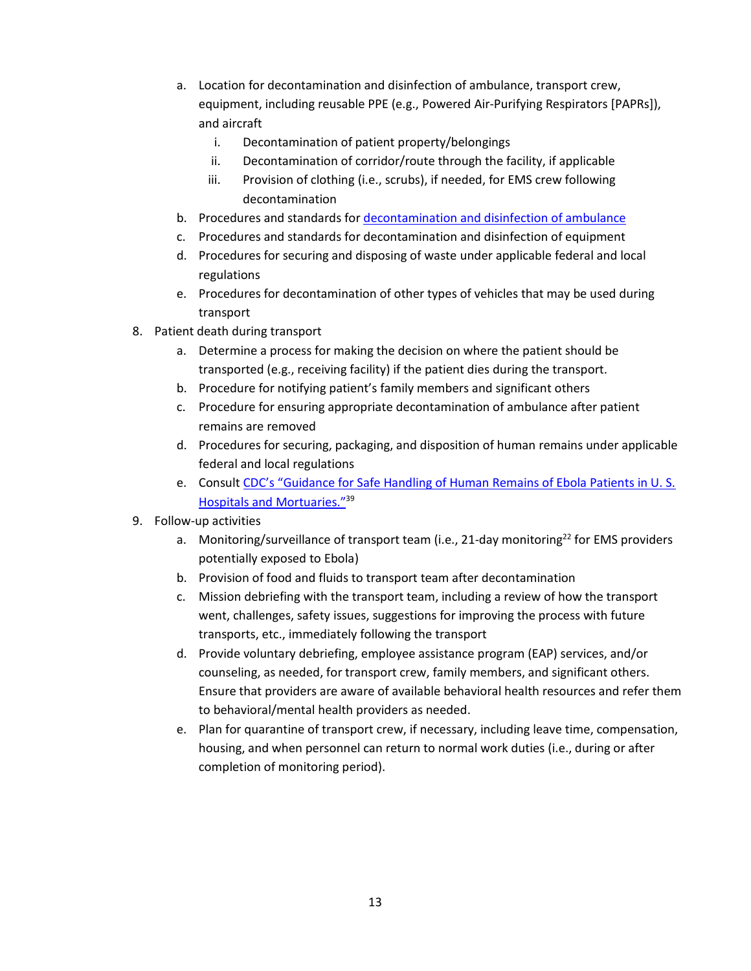- a. Location for decontamination and disinfection of ambulance, transport crew, equipment, including reusable PPE (e.g., Powered Air-Purifying Respirators [PAPRs]), and aircraft
	- i. Decontamination of patient property/belongings
	- ii. Decontamination of corridor/route through the facility, if applicable
	- iii. Provision of clothing (i.e., scrubs), if needed, for EMS crew following decontamination
- b. Procedures and standards fo[r decontamination and disinfection](http://www.cdc.gov/vhf/ebola/healthcare-us/emergency-services/ambulance-decontamination.html) of ambulance
- c. Procedures and standards for decontamination and disinfection of equipment
- d. Procedures for securing and disposing of waste under applicable federal and local regulations
- e. Procedures for decontamination of other types of vehicles that may be used during transport
- 8. Patient death during transport
	- a. Determine a process for making the decision on where the patient should be transported (e.g., receiving facility) if the patient dies during the transport.
	- b. Procedure for notifying patient's family members and significant others
	- c. Procedure for ensuring appropriate decontamination of ambulance after patient remains are removed
	- d. Procedures for securing, packaging, and disposition of human remains under applicable federal and local regulations
	- e. Consult CDC's "[Guidance for Safe Handling of Human Remains of Ebola Patients in U. S.](http://www.cdc.gov/vhf/ebola/healthcare-us/hospitals/handling-human-remains.html)  [Hospitals and Mortuaries](http://www.cdc.gov/vhf/ebola/healthcare-us/hospitals/handling-human-remains.html)."[39](#page-35-0)
- 9. Follow-up activities
	- a. Monitoring/surveillance of transport team (i.e., 21-day monitoring<sup>[22](#page-22-0)</sup> for EMS providers potentially exposed to Ebola)
	- b. Provision of food and fluids to transport team after decontamination
	- c. Mission debriefing with the transport team, including a review of how the transport went, challenges, safety issues, suggestions for improving the process with future transports, etc., immediately following the transport
	- d. Provide voluntary debriefing, employee assistance program (EAP) services, and/or counseling, as needed, for transport crew, family members, and significant others. Ensure that providers are aware of available behavioral health resources and refer them to behavioral/mental health providers as needed.
	- e. Plan for quarantine of transport crew, if necessary, including leave time, compensation, housing, and when personnel can return to normal work duties (i.e., during or after completion of monitoring period).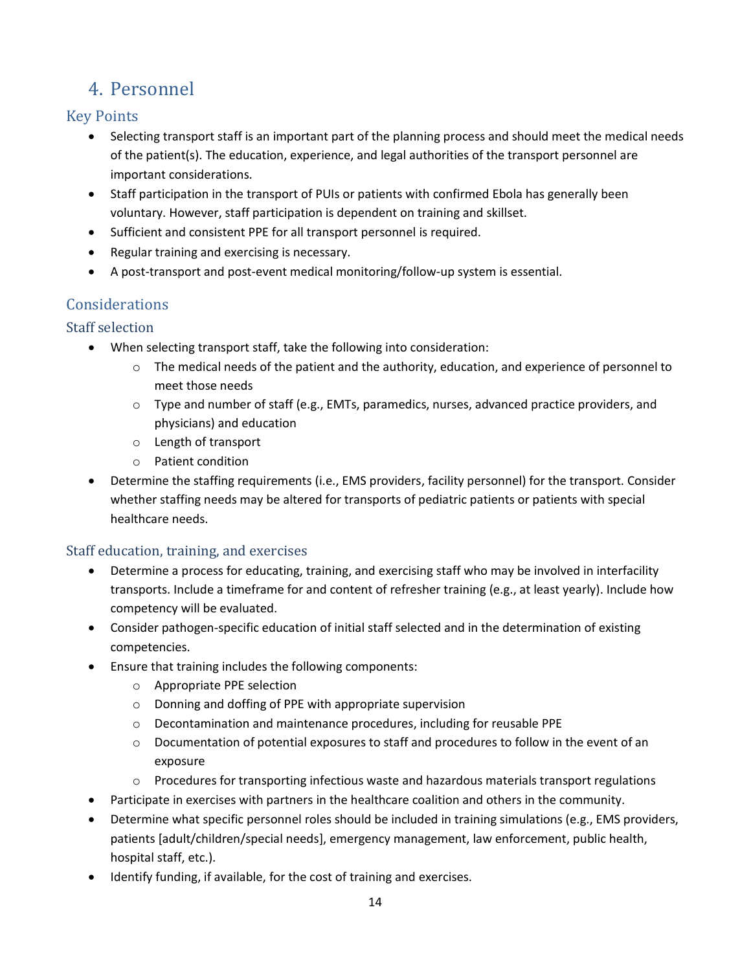## <span id="page-21-0"></span>4. Personnel

## Key Points

- Selecting transport staff is an important part of the planning process and should meet the medical needs of the patient(s). The education, experience, and legal authorities of the transport personnel are important considerations.
- Staff participation in the transport of PUIs or patients with confirmed Ebola has generally been voluntary. However, staff participation is dependent on training and skillset.
- Sufficient and consistent PPE for all transport personnel is required.
- Regular training and exercising is necessary.
- A post-transport and post-event medical monitoring/follow-up system is essential.

## Considerations

## Staff selection

- When selecting transport staff, take the following into consideration:
	- $\circ$  The medical needs of the patient and the authority, education, and experience of personnel to meet those needs
	- o Type and number of staff (e.g., EMTs, paramedics, nurses, advanced practice providers, and physicians) and education
	- o Length of transport
	- o Patient condition
- Determine the staffing requirements (i.e., EMS providers, facility personnel) for the transport. Consider whether staffing needs may be altered for transports of pediatric patients or patients with special healthcare needs.

## Staff education, training, and exercises

- Determine a process for educating, training, and exercising staff who may be involved in interfacility transports. Include a timeframe for and content of refresher training (e.g., at least yearly). Include how competency will be evaluated.
- Consider pathogen-specific education of initial staff selected and in the determination of existing competencies.
- Ensure that training includes the following components:
	- o Appropriate PPE selection
	- o Donning and doffing of PPE with appropriate supervision
	- o Decontamination and maintenance procedures, including for reusable PPE
	- $\circ$  Documentation of potential exposures to staff and procedures to follow in the event of an exposure
	- $\circ$  Procedures for transporting infectious waste and hazardous materials transport regulations
- Participate in exercises with partners in the healthcare coalition and others in the community.
- Determine what specific personnel roles should be included in training simulations (e.g., EMS providers, patients [adult/children/special needs], emergency management, law enforcement, public health, hospital staff, etc.).
- Identify funding, if available, for the cost of training and exercises.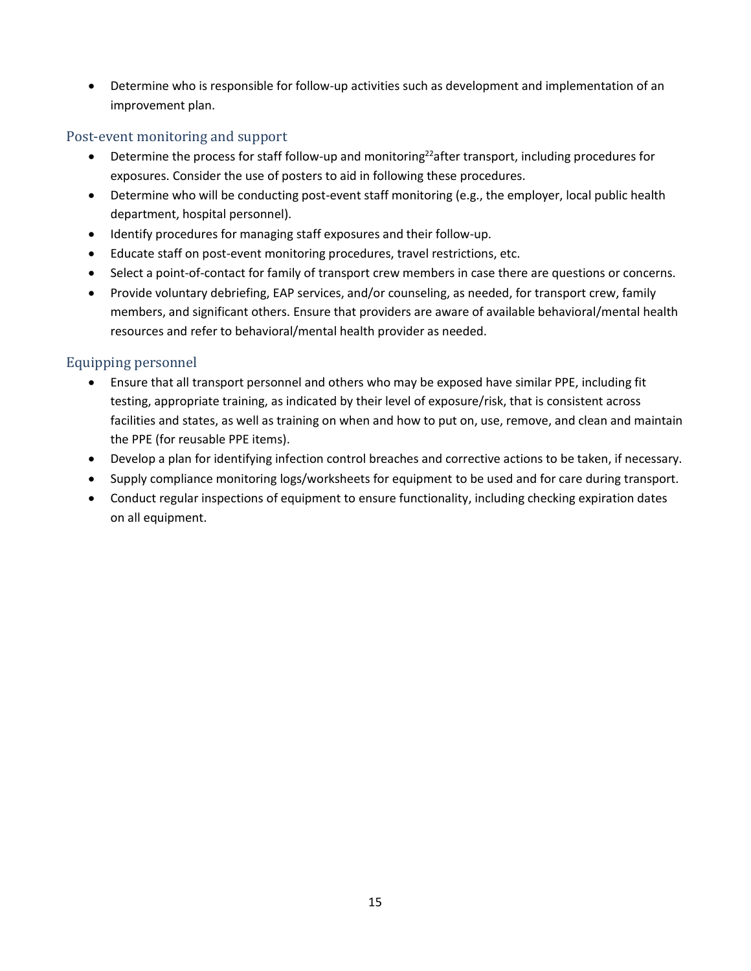Determine who is responsible for follow-up activities such as development and implementation of an improvement plan.

#### Post-event monitoring and support

- <span id="page-22-0"></span> $\bullet$  Determine the process for staff follow-up and monitoring<sup>22</sup> after transport, including procedures for exposures. Consider the use of posters to aid in following these procedures.
- Determine who will be conducting post-event staff monitoring (e.g., the employer, local public health department, hospital personnel).
- Identify procedures for managing staff exposures and their follow-up.
- Educate staff on post-event monitoring procedures, travel restrictions, etc.
- Select a point-of-contact for family of transport crew members in case there are questions or concerns.
- Provide voluntary debriefing, EAP services, and/or counseling, as needed, for transport crew, family members, and significant others. Ensure that providers are aware of available behavioral/mental health resources and refer to behavioral/mental health provider as needed.

#### Equipping personnel

- Ensure that all transport personnel and others who may be exposed have similar PPE, including fit testing, appropriate training, as indicated by their level of exposure/risk, that is consistent across facilities and states, as well as training on when and how to put on, use, remove, and clean and maintain the PPE (for reusable PPE items).
- Develop a plan for identifying infection control breaches and corrective actions to be taken, if necessary.
- Supply compliance monitoring logs/worksheets for equipment to be used and for care during transport.
- Conduct regular inspections of equipment to ensure functionality, including checking expiration dates on all equipment.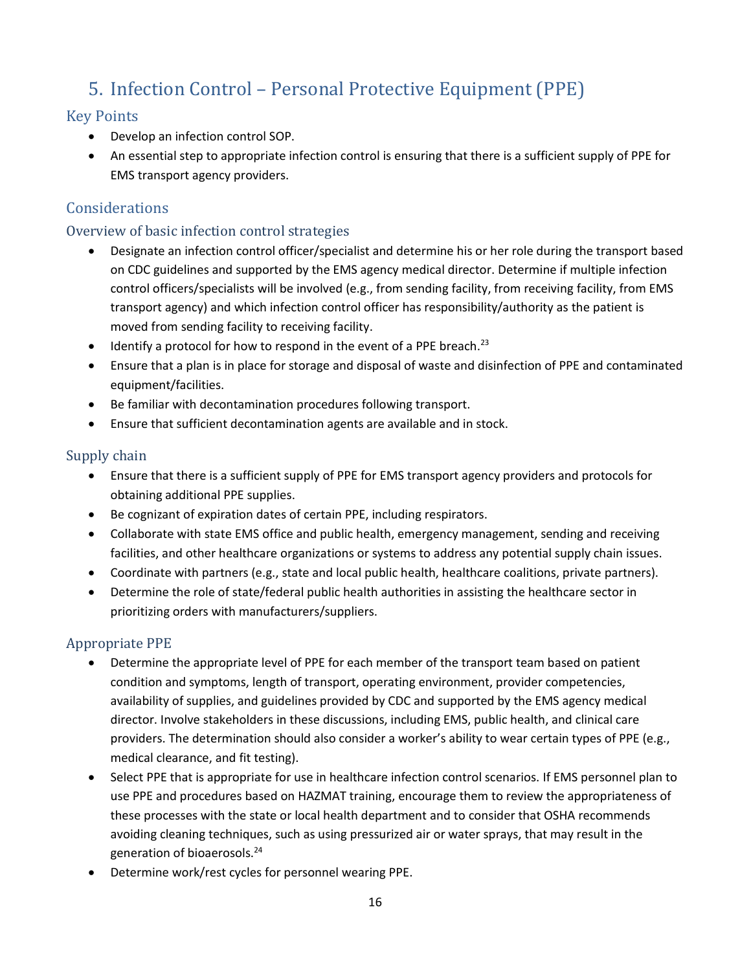## <span id="page-23-0"></span>5. Infection Control – Personal Protective Equipment (PPE)

### Key Points

- Develop an infection control SOP.
- An essential step to appropriate infection control is ensuring that there is a sufficient supply of PPE for EMS transport agency providers.

## Considerations

#### Overview of basic infection control strategies

- Designate an infection control officer/specialist and determine his or her role during the transport based on CDC guidelines and supported by the EMS agency medical director. Determine if multiple infection control officers/specialists will be involved (e.g., from sending facility, from receiving facility, from EMS transport agency) and which infection control officer has responsibility/authority as the patient is moved from sending facility to receiving facility.
- $\bullet$  Identify a protocol for how to respond in the event of a PPE breach.<sup>23</sup>
- Ensure that a plan is in place for storage and disposal of waste and disinfection of PPE and contaminated equipment/facilities.
- Be familiar with decontamination procedures following transport.
- Ensure that sufficient decontamination agents are available and in stock.

#### Supply chain

- Ensure that there is a sufficient supply of PPE for EMS transport agency providers and protocols for obtaining additional PPE supplies.
- Be cognizant of expiration dates of certain PPE, including respirators.
- Collaborate with state EMS office and public health, emergency management, sending and receiving facilities, and other healthcare organizations or systems to address any potential supply chain issues.
- Coordinate with partners (e.g., state and local public health, healthcare coalitions, private partners).
- Determine the role of state/federal public health authorities in assisting the healthcare sector in prioritizing orders with manufacturers/suppliers.

#### Appropriate PPE

- Determine the appropriate level of PPE for each member of the transport team based on patient condition and symptoms, length of transport, operating environment, provider competencies, availability of supplies, and guidelines provided by CDC and supported by the EMS agency medical director. Involve stakeholders in these discussions, including EMS, public health, and clinical care providers. The determination should also consider a worker's ability to wear certain types of PPE (e.g., medical clearance, and fit testing).
- Select PPE that is appropriate for use in healthcare infection control scenarios. If EMS personnel plan to use PPE and procedures based on HAZMAT training, encourage them to review the appropriateness of these processes with the state or local health department and to consider that OSHA recommends avoiding cleaning techniques, such as using pressurized air or water sprays, that may result in the generation of bioaerosols.<sup>24</sup>
- Determine work/rest cycles for personnel wearing PPE.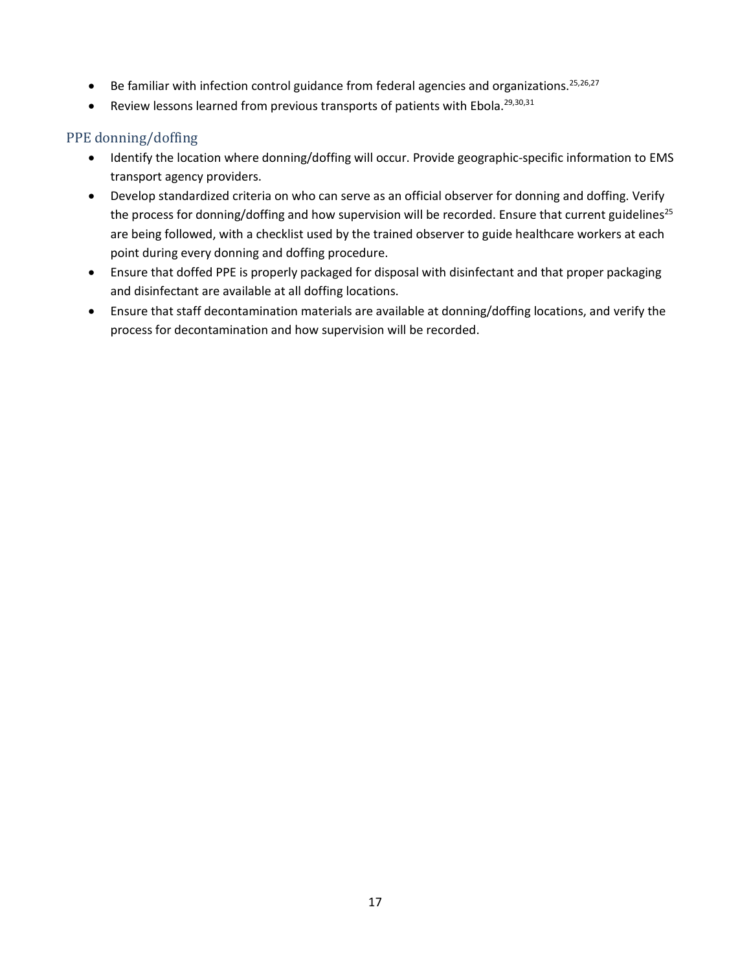- <span id="page-24-0"></span> $\bullet$  Be familiar with infection control guidance from federal agencies and organizations.<sup>25,26,27</sup>
- **•** Review lessons learned from previous transports of patients with Ebola.<sup>[29,](#page-25-1)[30,](#page-25-2)[31](#page-25-3)</sup>

#### PPE donning/doffing

- Identify the location where donning/doffing will occur. Provide geographic-specific information to EMS transport agency providers.
- Develop standardized criteria on who can serve as an official observer for donning and doffing. Verify the process for donning/doffing and how supervision will be recorded. Ensure that current guidelines<sup>[25](#page-24-0)</sup> are being followed, with a checklist used by the trained observer to guide healthcare workers at each point during every donning and doffing procedure.
- Ensure that doffed PPE is properly packaged for disposal with disinfectant and that proper packaging and disinfectant are available at all doffing locations.
- Ensure that staff decontamination materials are available at donning/doffing locations, and verify the process for decontamination and how supervision will be recorded.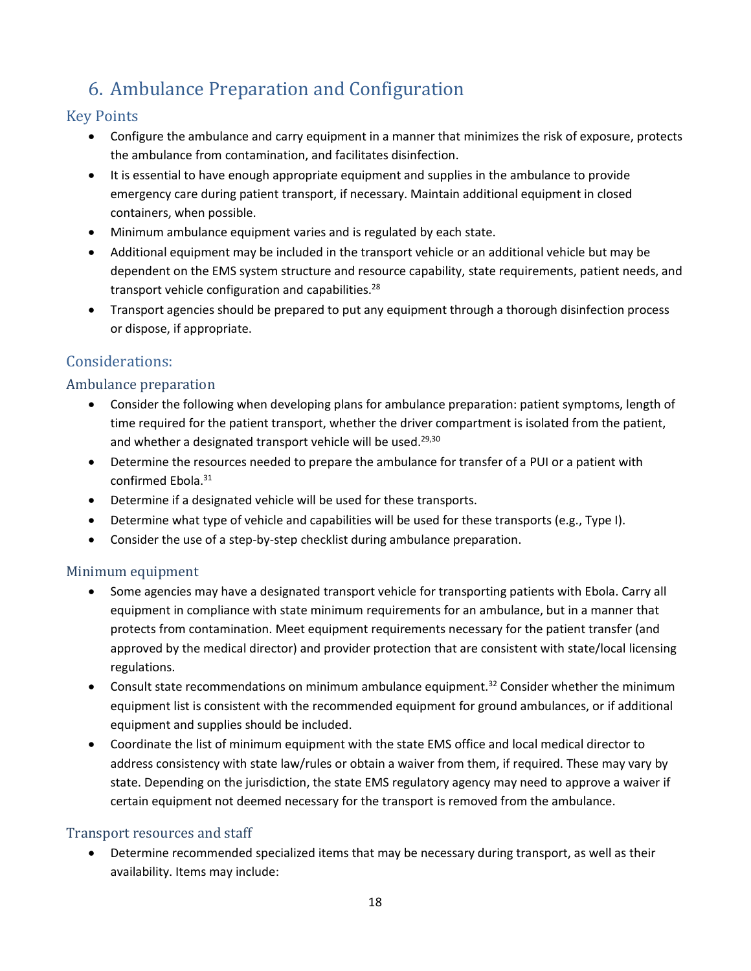## <span id="page-25-0"></span>6. Ambulance Preparation and Configuration

### Key Points

- Configure the ambulance and carry equipment in a manner that minimizes the risk of exposure, protects the ambulance from contamination, and facilitates disinfection.
- It is essential to have enough appropriate equipment and supplies in the ambulance to provide emergency care during patient transport, if necessary. Maintain additional equipment in closed containers, when possible.
- Minimum ambulance equipment varies and is regulated by each state.
- Additional equipment may be included in the transport vehicle or an additional vehicle but may be dependent on the EMS system structure and resource capability, state requirements, patient needs, and transport vehicle configuration and capabilities.<sup>28</sup>
- Transport agencies should be prepared to put any equipment through a thorough disinfection process or dispose, if appropriate.

## Considerations:

#### Ambulance preparation

- Consider the following when developing plans for ambulance preparation: patient symptoms, length of time required for the patient transport, whether the driver compartment is isolated from the patient, and whether a designated transport vehicle will be used.<sup>29,30</sup>
- <span id="page-25-3"></span><span id="page-25-2"></span><span id="page-25-1"></span> Determine the resources needed to prepare the ambulance for transfer of a PUI or a patient with confirmed Ebola. 31
- Determine if a designated vehicle will be used for these transports.
- Determine what type of vehicle and capabilities will be used for these transports (e.g., Type I).
- Consider the use of a step-by-step checklist during ambulance preparation.

#### Minimum equipment

- Some agencies may have a designated transport vehicle for transporting patients with Ebola. Carry all equipment in compliance with state minimum requirements for an ambulance, but in a manner that protects from contamination. Meet equipment requirements necessary for the patient transfer (and approved by the medical director) and provider protection that are consistent with state/local licensing regulations.
- Consult state recommendations on minimum ambulance equipment.<sup>32</sup> Consider whether the minimum equipment list is consistent with the recommended equipment for ground ambulances, or if additional equipment and supplies should be included.
- Coordinate the list of minimum equipment with the state EMS office and local medical director to address consistency with state law/rules or obtain a waiver from them, if required. These may vary by state. Depending on the jurisdiction, the state EMS regulatory agency may need to approve a waiver if certain equipment not deemed necessary for the transport is removed from the ambulance.

#### Transport resources and staff

 Determine recommended specialized items that may be necessary during transport, as well as their availability. Items may include: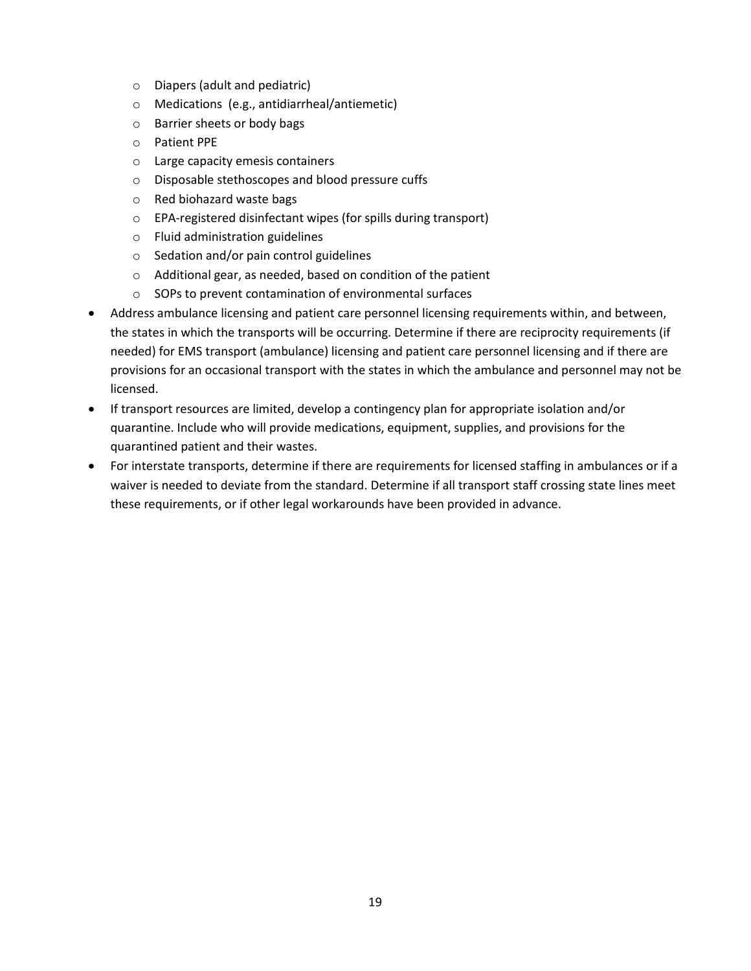- o Diapers (adult and pediatric)
- o Medications (e.g., antidiarrheal/antiemetic)
- o Barrier sheets or body bags
- o Patient PPE
- o Large capacity emesis containers
- o Disposable stethoscopes and blood pressure cuffs
- o Red biohazard waste bags
- o EPA-registered disinfectant wipes (for spills during transport)
- o Fluid administration guidelines
- o Sedation and/or pain control guidelines
- o Additional gear, as needed, based on condition of the patient
- o SOPs to prevent contamination of environmental surfaces
- Address ambulance licensing and patient care personnel licensing requirements within, and between, the states in which the transports will be occurring. Determine if there are reciprocity requirements (if needed) for EMS transport (ambulance) licensing and patient care personnel licensing and if there are provisions for an occasional transport with the states in which the ambulance and personnel may not be licensed.
- If transport resources are limited, develop a contingency plan for appropriate isolation and/or quarantine. Include who will provide medications, equipment, supplies, and provisions for the quarantined patient and their wastes.
- For interstate transports, determine if there are requirements for licensed staffing in ambulances or if a waiver is needed to deviate from the standard. Determine if all transport staff crossing state lines meet these requirements, or if other legal workarounds have been provided in advance.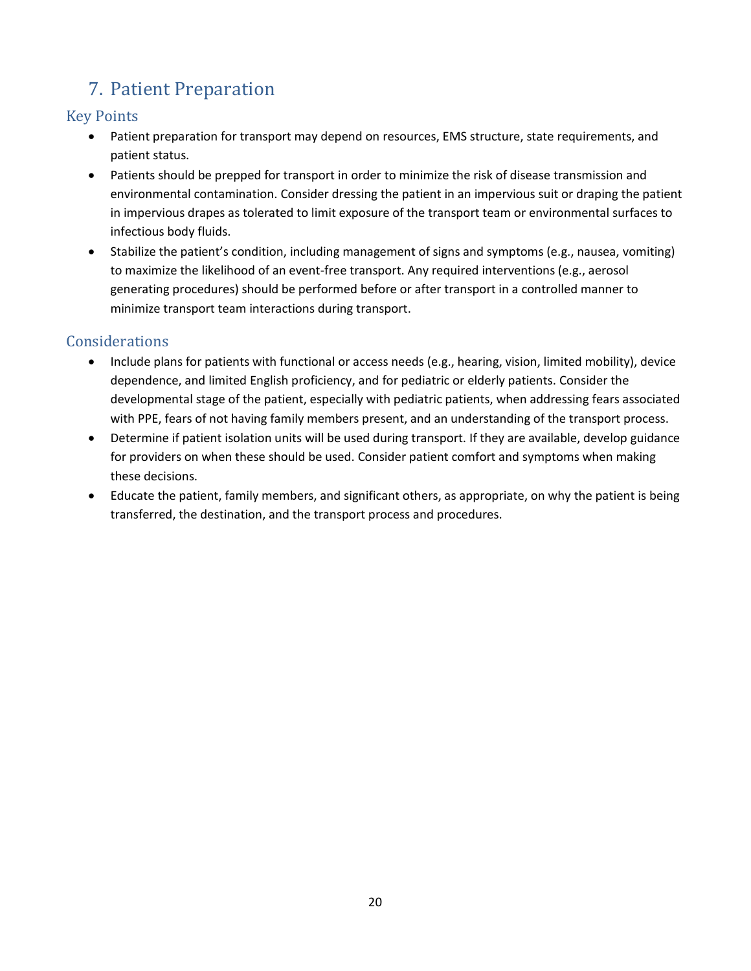## <span id="page-27-0"></span>7. Patient Preparation

## Key Points

- Patient preparation for transport may depend on resources, EMS structure, state requirements, and patient status.
- Patients should be prepped for transport in order to minimize the risk of disease transmission and environmental contamination. Consider dressing the patient in an impervious suit or draping the patient in impervious drapes as tolerated to limit exposure of the transport team or environmental surfaces to infectious body fluids.
- Stabilize the patient's condition, including management of signs and symptoms (e.g., nausea, vomiting) to maximize the likelihood of an event-free transport. Any required interventions (e.g., aerosol generating procedures) should be performed before or after transport in a controlled manner to minimize transport team interactions during transport.

## **Considerations**

- Include plans for patients with functional or access needs (e.g., hearing, vision, limited mobility), device dependence, and limited English proficiency, and for pediatric or elderly patients. Consider the developmental stage of the patient, especially with pediatric patients, when addressing fears associated with PPE, fears of not having family members present, and an understanding of the transport process.
- Determine if patient isolation units will be used during transport. If they are available, develop guidance for providers on when these should be used. Consider patient comfort and symptoms when making these decisions.
- Educate the patient, family members, and significant others, as appropriate, on why the patient is being transferred, the destination, and the transport process and procedures.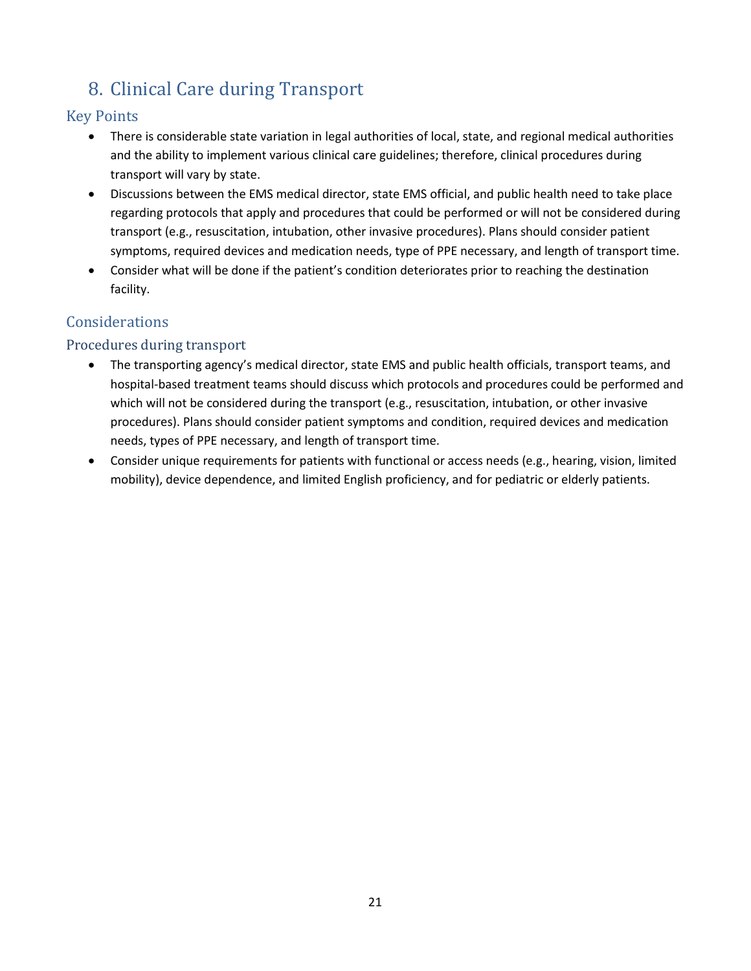## <span id="page-28-0"></span>8. Clinical Care during Transport

## Key Points

- There is considerable state variation in legal authorities of local, state, and regional medical authorities and the ability to implement various clinical care guidelines; therefore, clinical procedures during transport will vary by state.
- Discussions between the EMS medical director, state EMS official, and public health need to take place regarding protocols that apply and procedures that could be performed or will not be considered during transport (e.g., resuscitation, intubation, other invasive procedures). Plans should consider patient symptoms, required devices and medication needs, type of PPE necessary, and length of transport time.
- Consider what will be done if the patient's condition deteriorates prior to reaching the destination facility.

## Considerations

### Procedures during transport

- The transporting agency's medical director, state EMS and public health officials, transport teams, and hospital-based treatment teams should discuss which protocols and procedures could be performed and which will not be considered during the transport (e.g., resuscitation, intubation, or other invasive procedures). Plans should consider patient symptoms and condition, required devices and medication needs, types of PPE necessary, and length of transport time.
- Consider unique requirements for patients with functional or access needs (e.g., hearing, vision, limited mobility), device dependence, and limited English proficiency, and for pediatric or elderly patients.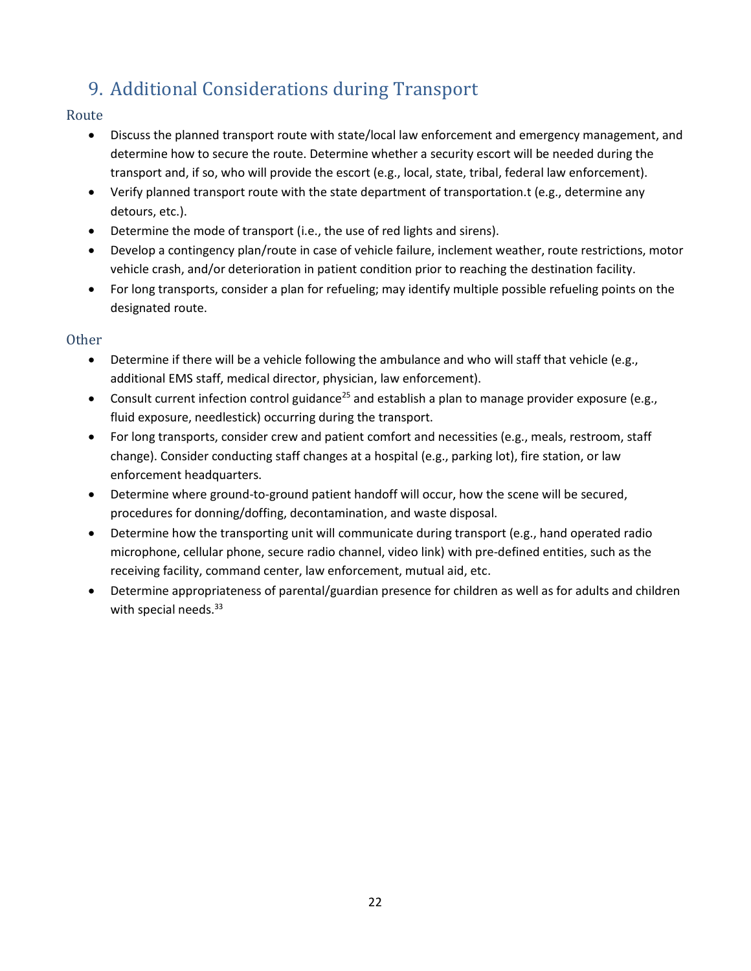## <span id="page-29-0"></span>9. Additional Considerations during Transport

#### Route

- Discuss the planned transport route with state/local law enforcement and emergency management, and determine how to secure the route. Determine whether a security escort will be needed during the transport and, if so, who will provide the escort (e.g., local, state, tribal, federal law enforcement).
- Verify planned transport route with the state department of transportation.t (e.g., determine any detours, etc.).
- Determine the mode of transport (i.e., the use of red lights and sirens).
- Develop a contingency plan/route in case of vehicle failure, inclement weather, route restrictions, motor vehicle crash, and/or deterioration in patient condition prior to reaching the destination facility.
- For long transports, consider a plan for refueling; may identify multiple possible refueling points on the designated route.

#### Other

- Determine if there will be a vehicle following the ambulance and who will staff that vehicle (e.g., additional EMS staff, medical director, physician, law enforcement).
- Consult current infection control guidance<sup>[25](#page-24-0)</sup> and establish a plan to manage provider exposure (e.g., fluid exposure, needlestick) occurring during the transport.
- For long transports, consider crew and patient comfort and necessities (e.g., meals, restroom, staff change). Consider conducting staff changes at a hospital (e.g., parking lot), fire station, or law enforcement headquarters.
- Determine where ground-to-ground patient handoff will occur, how the scene will be secured, procedures for donning/doffing, decontamination, and waste disposal.
- Determine how the transporting unit will communicate during transport (e.g., hand operated radio microphone, cellular phone, secure radio channel, video link) with pre-defined entities, such as the receiving facility, command center, law enforcement, mutual aid, etc.
- <span id="page-29-1"></span> Determine appropriateness of parental/guardian presence for children as well as for adults and children with special needs. $33$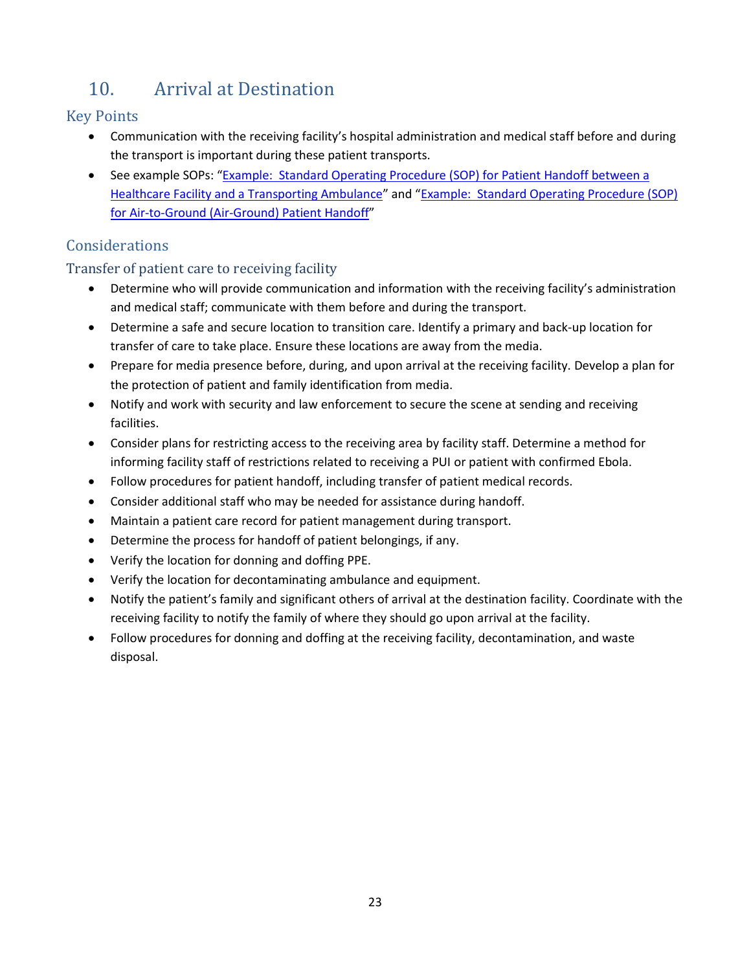## <span id="page-30-0"></span>10. Arrival at Destination

## Key Points

- Communication with the receiving facility's hospital administration and medical staff before and during the transport is important during these patient transports.
- See example SOPs: "Example: Standard Operating Procedure (SOP) for Patient Handoff between a [Healthcare Facility and a Transporting Ambulance](http://www.cdc.gov/vhf/ebola/healthcare-us/emergency-services/patient-handoff.html)" and "[Example: Standard Operating Procedure \(SOP\)](http://www.cdc.gov/vhf/ebola/healthcare-us/emergency-services/air-ground-patient-handoff.html)  [for Air-to-Ground \(Air-Ground\) Patient Handoff](http://www.cdc.gov/vhf/ebola/healthcare-us/emergency-services/air-ground-patient-handoff.html)"

## **Considerations**

## Transfer of patient care to receiving facility

- Determine who will provide communication and information with the receiving facility's administration and medical staff; communicate with them before and during the transport.
- Determine a safe and secure location to transition care. Identify a primary and back-up location for transfer of care to take place. Ensure these locations are away from the media.
- Prepare for media presence before, during, and upon arrival at the receiving facility. Develop a plan for the protection of patient and family identification from media.
- Notify and work with security and law enforcement to secure the scene at sending and receiving facilities.
- Consider plans for restricting access to the receiving area by facility staff. Determine a method for informing facility staff of restrictions related to receiving a PUI or patient with confirmed Ebola.
- Follow procedures for patient handoff, including transfer of patient medical records.
- Consider additional staff who may be needed for assistance during handoff.
- Maintain a patient care record for patient management during transport.
- Determine the process for handoff of patient belongings, if any.
- Verify the location for donning and doffing PPE.
- Verify the location for decontaminating ambulance and equipment.
- Notify the patient's family and significant others of arrival at the destination facility. Coordinate with the receiving facility to notify the family of where they should go upon arrival at the facility.
- Follow procedures for donning and doffing at the receiving facility, decontamination, and waste disposal.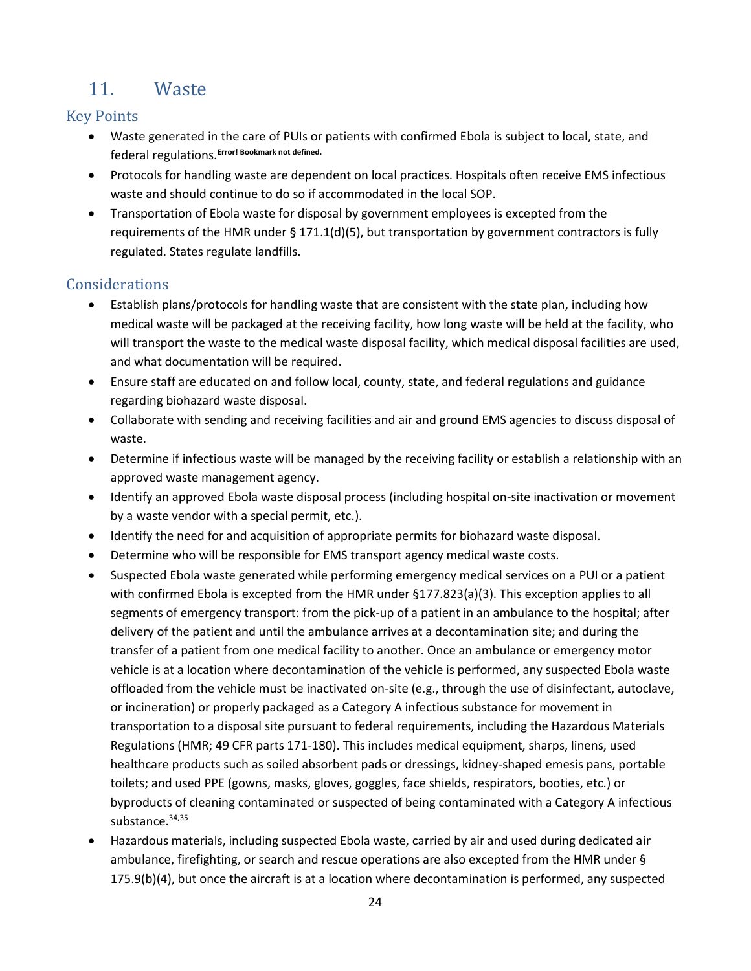## <span id="page-31-0"></span>11. Waste

### Key Points

- Waste generated in the care of PUIs or patients with confirmed Ebola is subject to local, state, and federal regulations.**Error! Bookmark not defined.**
- Protocols for handling waste are dependent on local practices. Hospitals often receive EMS infectious waste and should continue to do so if accommodated in the local SOP.
- Transportation of Ebola waste for disposal by government employees is excepted from the requirements of the HMR under  $\S 171.1(d)(5)$ , but transportation by government contractors is fully regulated. States regulate landfills.

### **Considerations**

- Establish plans/protocols for handling waste that are consistent with the state plan, including how medical waste will be packaged at the receiving facility, how long waste will be held at the facility, who will transport the waste to the medical waste disposal facility, which medical disposal facilities are used, and what documentation will be required.
- Ensure staff are educated on and follow local, county, state, and federal regulations and guidance regarding biohazard waste disposal.
- Collaborate with sending and receiving facilities and air and ground EMS agencies to discuss disposal of waste.
- Determine if infectious waste will be managed by the receiving facility or establish a relationship with an approved waste management agency.
- Identify an approved Ebola waste disposal process (including hospital on-site inactivation or movement by a waste vendor with a special permit, etc.).
- Identify the need for and acquisition of appropriate permits for biohazard waste disposal.
- Determine who will be responsible for EMS transport agency medical waste costs.
- Suspected Ebola waste generated while performing emergency medical services on a PUI or a patient with confirmed Ebola is excepted from the HMR under §177.823(a)(3). This exception applies to all segments of emergency transport: from the pick-up of a patient in an ambulance to the hospital; after delivery of the patient and until the ambulance arrives at a decontamination site; and during the transfer of a patient from one medical facility to another. Once an ambulance or emergency motor vehicle is at a location where decontamination of the vehicle is performed, any suspected Ebola waste offloaded from the vehicle must be inactivated on-site (e.g., through the use of disinfectant, autoclave, or incineration) or properly packaged as a Category A infectious substance for movement in transportation to a disposal site pursuant to federal requirements, including the Hazardous Materials Regulations (HMR; 49 CFR parts 171-180). This includes medical equipment, sharps, linens, used healthcare products such as soiled absorbent pads or dressings, kidney-shaped emesis pans, portable toilets; and used PPE (gowns, masks, gloves, goggles, face shields, respirators, booties, etc.) or byproducts of cleaning contaminated or suspected of being contaminated with a Category A infectious substance.<sup>34,35</sup>
- <span id="page-31-1"></span> Hazardous materials, including suspected Ebola waste, carried by air and used during dedicated air ambulance, firefighting, or search and rescue operations are also excepted from the HMR under § 175.9(b)(4), but once the aircraft is at a location where decontamination is performed, any suspected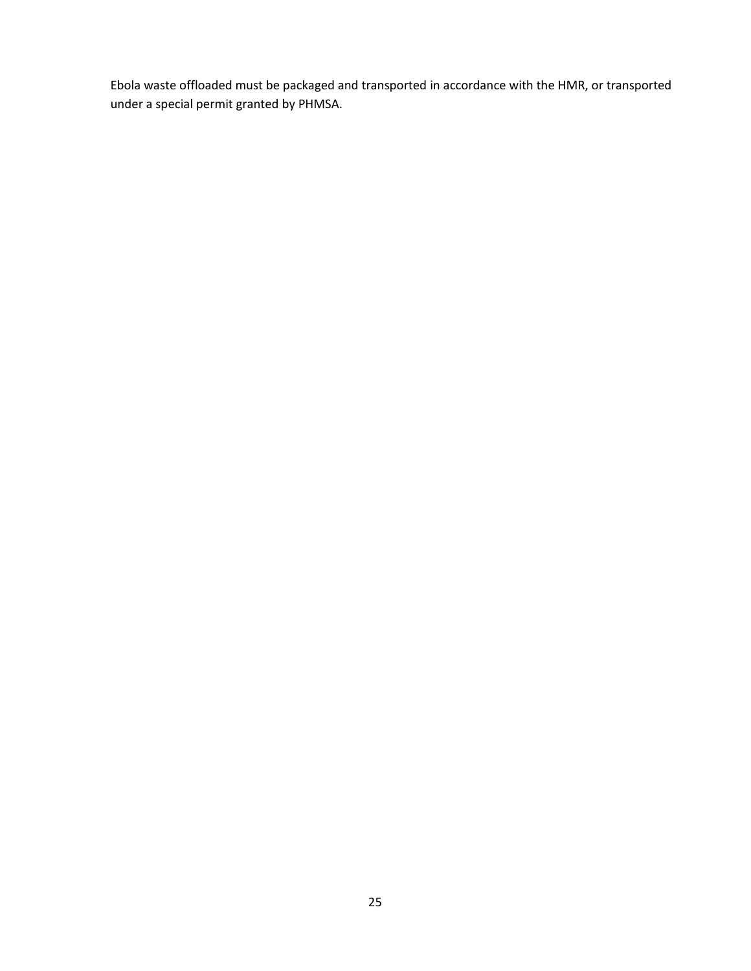Ebola waste offloaded must be packaged and transported in accordance with the HMR, or transported under a special permit granted by PHMSA.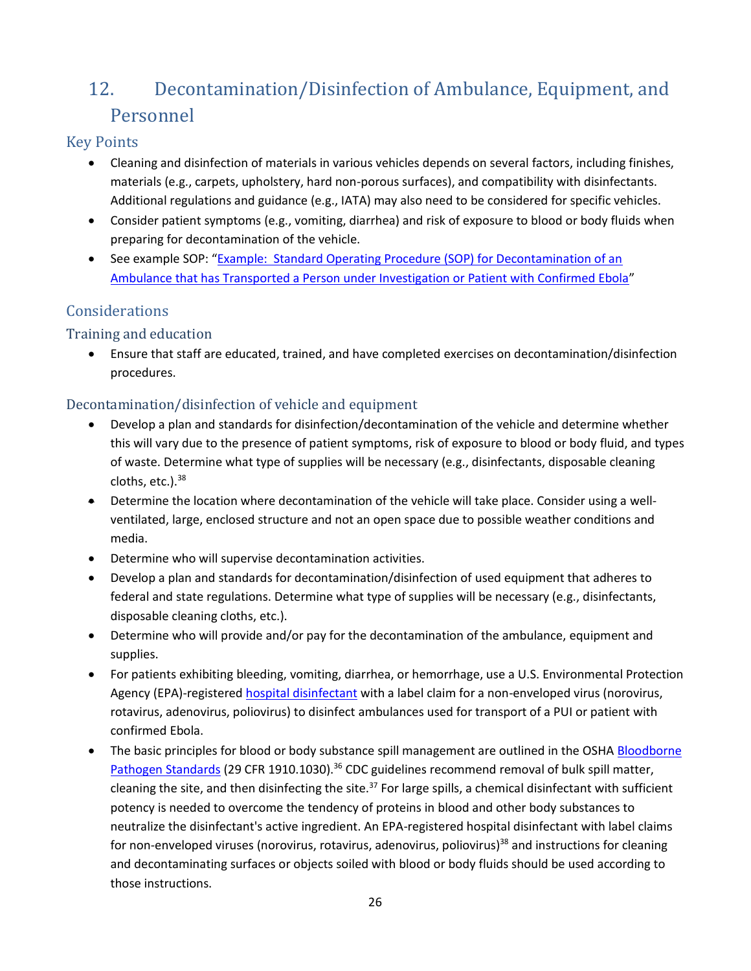## <span id="page-33-0"></span>12. Decontamination/Disinfection of Ambulance, Equipment, and Personnel

### Key Points

- Cleaning and disinfection of materials in various vehicles depends on several factors, including finishes, materials (e.g., carpets, upholstery, hard non-porous surfaces), and compatibility with disinfectants. Additional regulations and guidance (e.g., IATA) may also need to be considered for specific vehicles.
- Consider patient symptoms (e.g., vomiting, diarrhea) and risk of exposure to blood or body fluids when preparing for decontamination of the vehicle.
- See example SOP: "Example: Standard Operating Procedure (SOP) for Decontamination of an [Ambulance that has Transported a Person under Investigation or Patient with Confirmed Ebola](http://www.cdc.gov/vhf/ebola/healthcare-us/emergency-services/ambulance-decontamination.html)"

## Considerations

### Training and education

 Ensure that staff are educated, trained, and have completed exercises on decontamination/disinfection procedures.

### Decontamination/disinfection of vehicle and equipment

- Develop a plan and standards for disinfection/decontamination of the vehicle and determine whether this will vary due to the presence of patient symptoms, risk of exposure to blood or body fluid, and types of waste. Determine what type of supplies will be necessary (e.g., disinfectants, disposable cleaning cloths,  $etc.$ ).  $38$
- Determine the location where decontamination of the vehicle will take place. Consider using a wellventilated, large, enclosed structure and not an open space due to possible weather conditions and media.
- Determine who will supervise decontamination activities.
- Develop a plan and standards for decontamination/disinfection of used equipment that adheres to federal and state regulations. Determine what type of supplies will be necessary (e.g., disinfectants, disposable cleaning cloths, etc.).
- Determine who will provide and/or pay for the decontamination of the ambulance, equipment and supplies.
- For patients exhibiting bleeding, vomiting, diarrhea, or hemorrhage, use a U.S. Environmental Protection Agency (EPA)-registered [hospital disinfectant](http://www2.epa.gov/pesticide-registration/list-l-disinfectants-use-against-ebola-virus) with a label claim for a non-enveloped virus (norovirus, rotavirus, adenovirus, poliovirus) to disinfect ambulances used for transport of a PUI or patient with confirmed Ebola.
- <span id="page-33-1"></span>• The basic principles for blood or body substance spill management are outlined in the OSHA Bloodborne [Pathogen Standards](https://www.osha.gov/SLTC/bloodbornepathogens/standards.html) (29 CFR 1910.1030).<sup>36</sup> CDC guidelines recommend removal of bulk spill matter, cleaning the site, and then disinfecting the site.<sup>37</sup> For large spills, a chemical disinfectant with sufficient potency is needed to overcome the tendency of proteins in blood and other body substances to neutralize the disinfectant's active ingredient. An EPA-registered hospital disinfectant with label claims for non-enveloped viruses (norovirus, rotavirus, adenovirus, poliovirus)<sup>38</sup> and instructions for cleaning and decontaminating surfaces or objects soiled with blood or body fluids should be used according to those instructions.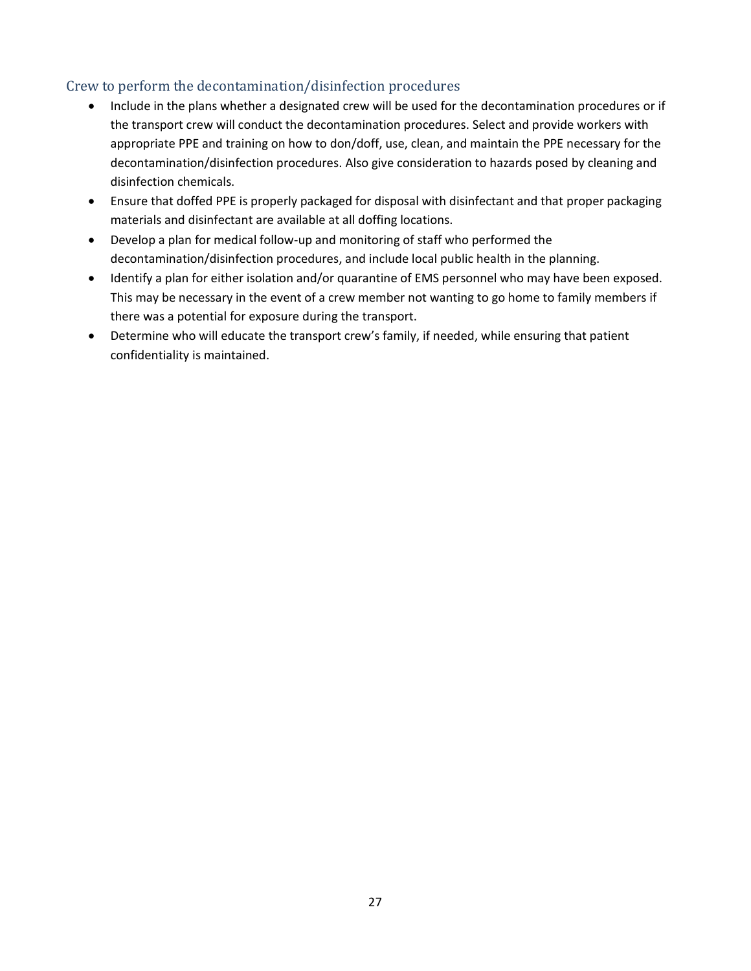### Crew to perform the decontamination/disinfection procedures

- Include in the plans whether a designated crew will be used for the decontamination procedures or if the transport crew will conduct the decontamination procedures. Select and provide workers with appropriate PPE and training on how to don/doff, use, clean, and maintain the PPE necessary for the decontamination/disinfection procedures. Also give consideration to hazards posed by cleaning and disinfection chemicals.
- Ensure that doffed PPE is properly packaged for disposal with disinfectant and that proper packaging materials and disinfectant are available at all doffing locations.
- Develop a plan for medical follow-up and monitoring of staff who performed the decontamination/disinfection procedures, and include local public health in the planning.
- Identify a plan for either isolation and/or quarantine of EMS personnel who may have been exposed. This may be necessary in the event of a crew member not wanting to go home to family members if there was a potential for exposure during the transport.
- Determine who will educate the transport crew's family, if needed, while ensuring that patient confidentiality is maintained.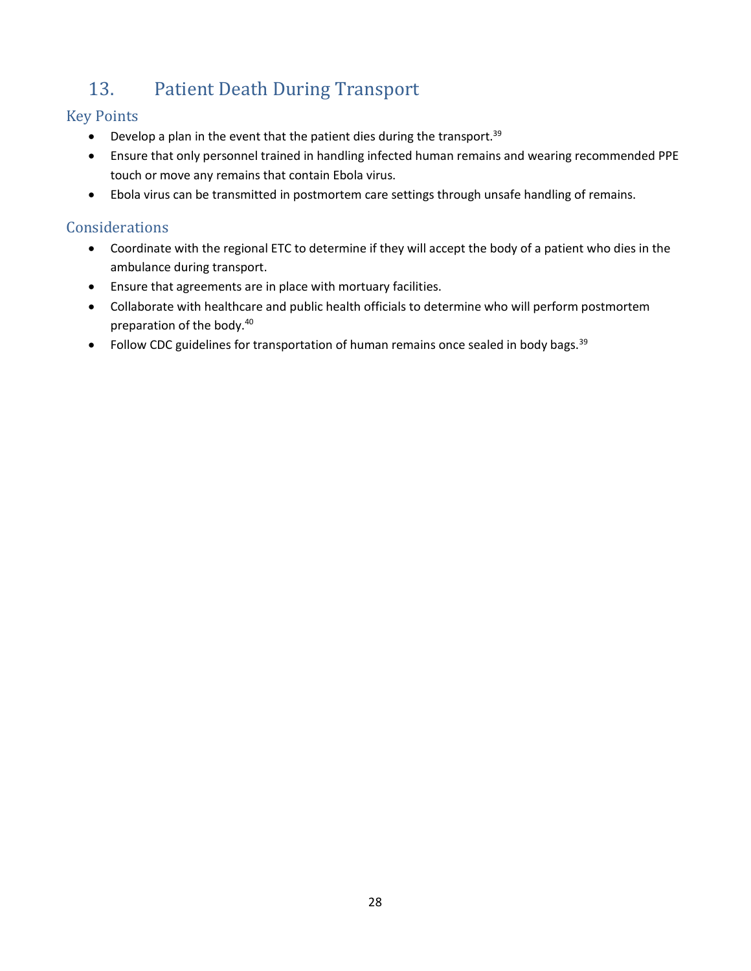## <span id="page-35-1"></span>13. Patient Death During Transport

## Key Points

- <span id="page-35-0"></span> $\bullet$  Develop a plan in the event that the patient dies during the transport.<sup>39</sup>
- Ensure that only personnel trained in handling infected human remains and wearing recommended PPE touch or move any remains that contain Ebola virus.
- Ebola virus can be transmitted in postmortem care settings through unsafe handling of remains.

## Considerations

- Coordinate with the regional ETC to determine if they will accept the body of a patient who dies in the ambulance during transport.
- Ensure that agreements are in place with mortuary facilities.
- Collaborate with healthcare and public health officials to determine who will perform postmortem preparation of the body.<sup>40</sup>
- Follow CDC guidelines for transportation of human remains once sealed in body bags.  $39$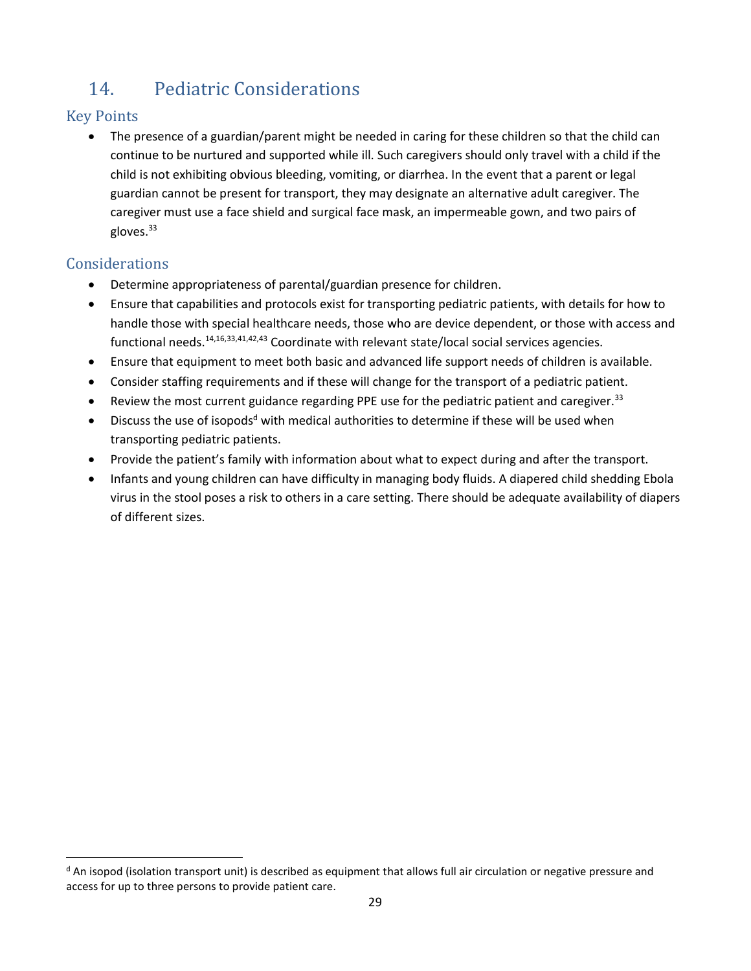## <span id="page-36-0"></span>14. Pediatric Considerations

## Key Points

• The presence of a guardian/parent might be needed in caring for these children so that the child can continue to be nurtured and supported while ill. Such caregivers should only travel with a child if the child is not exhibiting obvious bleeding, vomiting, or diarrhea. In the event that a parent or legal guardian cannot be present for transport, they may designate an alternative adult caregiver. The caregiver must use a face shield and surgical face mask, an impermeable gown, and two pairs of  $g$ loves. $33$ 

## Considerations

 $\overline{\phantom{a}}$ 

- Determine appropriateness of parental/guardian presence for children.
- Ensure that capabilities and protocols exist for transporting pediatric patients, with details for how to handle those with special healthcare needs, those who are device dependent, or those with access and functional needs.<sup>[14,](#page-18-2)[16,](#page-18-3)[33,4](#page-29-1)1,42,43</sup> Coordinate with relevant state/local social services agencies.
- Ensure that equipment to meet both basic and advanced life support needs of children is available.
- Consider staffing requirements and if these will change for the transport of a pediatric patient.
- Review the most current guidance regarding PPE use for the pediatric patient and caregiver.<sup>[33](#page-29-1)</sup>
- Discuss the use of isopods<sup>d</sup> with medical authorities to determine if these will be used when transporting pediatric patients.
- Provide the patient's family with information about what to expect during and after the transport.
- Infants and young children can have difficulty in managing body fluids. A diapered child shedding Ebola virus in the stool poses a risk to others in a care setting. There should be adequate availability of diapers of different sizes.

 $d$  An isopod (isolation transport unit) is described as equipment that allows full air circulation or negative pressure and access for up to three persons to provide patient care.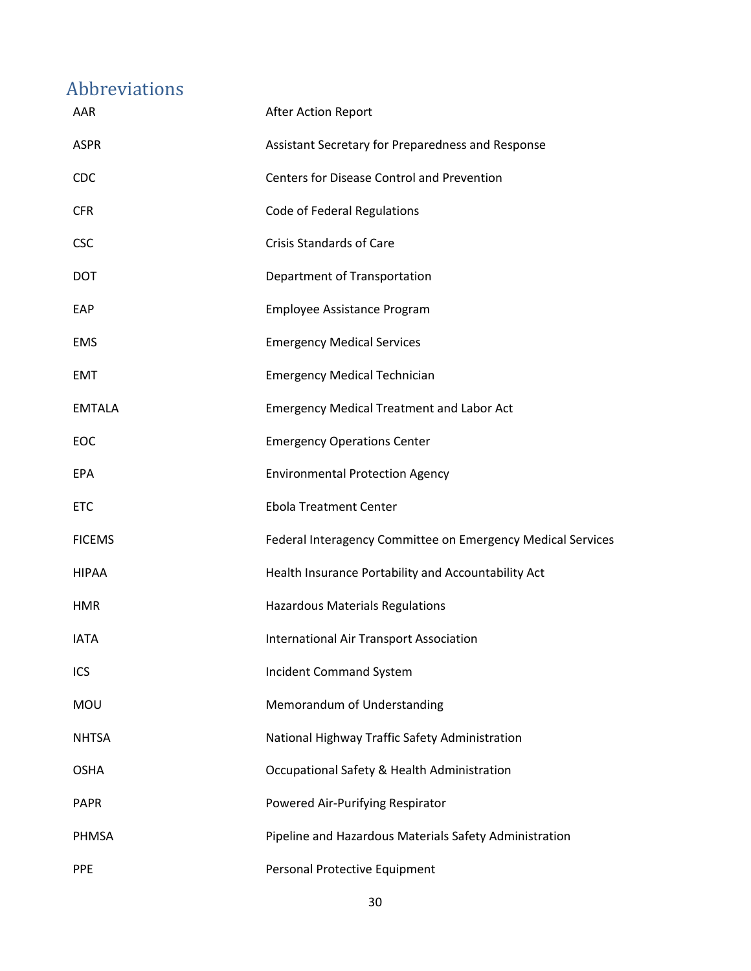## <span id="page-37-0"></span>Abbreviations

| AAR           | After Action Report                                         |
|---------------|-------------------------------------------------------------|
| <b>ASPR</b>   | Assistant Secretary for Preparedness and Response           |
| <b>CDC</b>    | <b>Centers for Disease Control and Prevention</b>           |
| <b>CFR</b>    | Code of Federal Regulations                                 |
| <b>CSC</b>    | <b>Crisis Standards of Care</b>                             |
| <b>DOT</b>    | Department of Transportation                                |
| EAP           | Employee Assistance Program                                 |
| EMS           | <b>Emergency Medical Services</b>                           |
| EMT           | <b>Emergency Medical Technician</b>                         |
| <b>EMTALA</b> | <b>Emergency Medical Treatment and Labor Act</b>            |
| EOC           | <b>Emergency Operations Center</b>                          |
| EPA           | <b>Environmental Protection Agency</b>                      |
| <b>ETC</b>    | <b>Ebola Treatment Center</b>                               |
| <b>FICEMS</b> | Federal Interagency Committee on Emergency Medical Services |
| <b>HIPAA</b>  | Health Insurance Portability and Accountability Act         |
| <b>HMR</b>    | Hazardous Materials Regulations                             |
| <b>IATA</b>   | <b>International Air Transport Association</b>              |
| ICS           | Incident Command System                                     |
| <b>MOU</b>    | Memorandum of Understanding                                 |
| <b>NHTSA</b>  | National Highway Traffic Safety Administration              |
| <b>OSHA</b>   | Occupational Safety & Health Administration                 |
| <b>PAPR</b>   | Powered Air-Purifying Respirator                            |
| PHMSA         | Pipeline and Hazardous Materials Safety Administration      |
| <b>PPE</b>    | Personal Protective Equipment                               |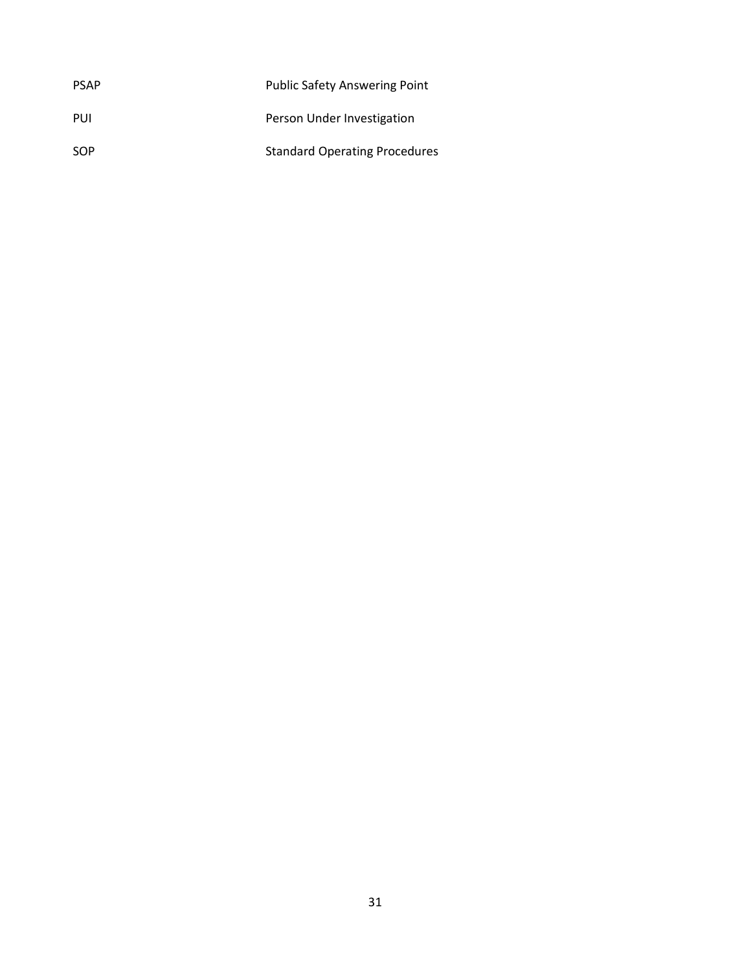| <b>PSAP</b> | <b>Public Safety Answering Point</b> |
|-------------|--------------------------------------|
| PUI         | Person Under Investigation           |
| <b>SOP</b>  | <b>Standard Operating Procedures</b> |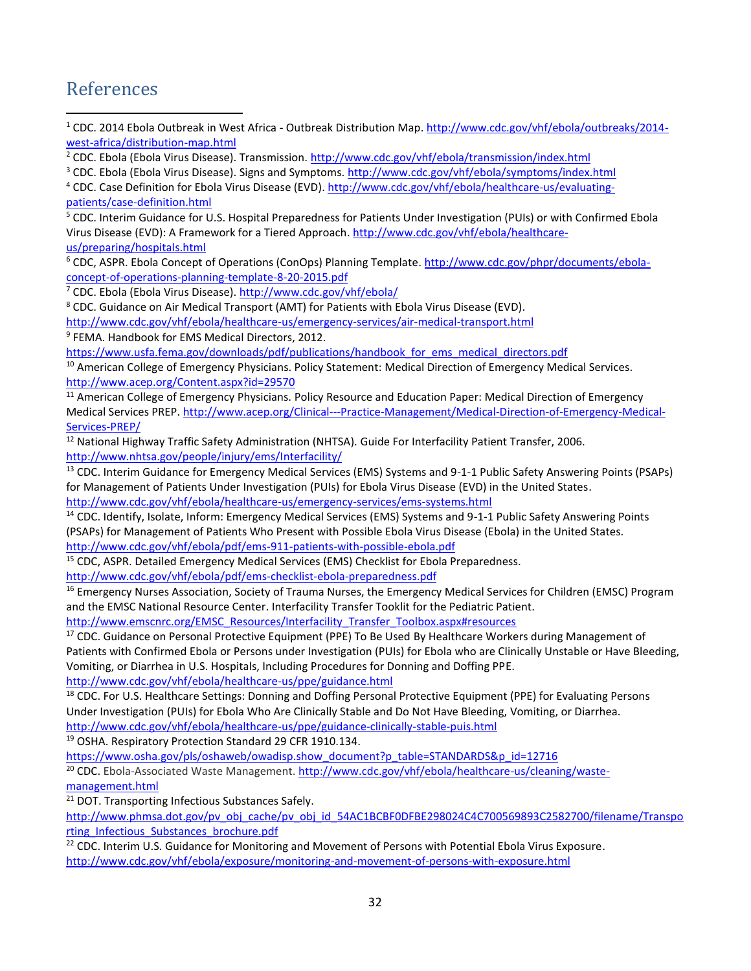## <span id="page-39-0"></span>References

 $\overline{a}$ 

<sup>1</sup> CDC. 2014 Ebola Outbreak in West Africa - Outbreak Distribution Map. [http://www.cdc.gov/vhf/ebola/outbreaks/2014](http://www.cdc.gov/vhf/ebola/outbreaks/2014-west-africa/distribution-map.html) [west-africa/distribution-map.html](http://www.cdc.gov/vhf/ebola/outbreaks/2014-west-africa/distribution-map.html)

<sup>2</sup> CDC. Ebola (Ebola Virus Disease). Transmission.<http://www.cdc.gov/vhf/ebola/transmission/index.html>

<sup>3</sup> CDC. Ebola (Ebola Virus Disease). Signs and Symptoms[. http://www.cdc.gov/vhf/ebola/symptoms/index.html](http://www.cdc.gov/vhf/ebola/symptoms/index.html)

<sup>4</sup> CDC. Case Definition for Ebola Virus Disease (EVD)[. http://www.cdc.gov/vhf/ebola/healthcare-us/evaluating](http://www.cdc.gov/vhf/ebola/healthcare-us/evaluating-patients/case-definition.html)[patients/case-definition.html](http://www.cdc.gov/vhf/ebola/healthcare-us/evaluating-patients/case-definition.html)

<sup>5</sup> CDC. Interim Guidance for U.S. Hospital Preparedness for Patients Under Investigation (PUIs) or with Confirmed Ebola Virus Disease (EVD): A Framework for a Tiered Approach. [http://www.cdc.gov/vhf/ebola/healthcare](http://www.cdc.gov/vhf/ebola/healthcare-us/preparing/hospitals.html)[us/preparing/hospitals.html](http://www.cdc.gov/vhf/ebola/healthcare-us/preparing/hospitals.html)

<sup>6</sup> CDC, ASPR. Ebola Concept of Operations (ConOps) Planning Template. [http://www.cdc.gov/phpr/documents/ebola](http://www.cdc.gov/phpr/documents/ebola-concept-of-operations-planning-template-8-20-2015.pdf)[concept-of-operations-planning-template-8-20-2015.pdf](http://www.cdc.gov/phpr/documents/ebola-concept-of-operations-planning-template-8-20-2015.pdf)

<sup>7</sup> CDC. Ebola (Ebola Virus Disease).<http://www.cdc.gov/vhf/ebola/>

<sup>8</sup> CDC. Guidance on Air Medical Transport (AMT) for Patients with Ebola Virus Disease (EVD).

<http://www.cdc.gov/vhf/ebola/healthcare-us/emergency-services/air-medical-transport.html>

9 FEMA. Handbook for EMS Medical Directors, 2012.

[https://www.usfa.fema.gov/downloads/pdf/publications/handbook\\_for\\_ems\\_medical\\_directors.pdf](https://www.usfa.fema.gov/downloads/pdf/publications/handbook_for_ems_medical_directors.pdf)

<sup>10</sup> American College of Emergency Physicians. Policy Statement: Medical Direction of Emergency Medical Services. <http://www.acep.org/Content.aspx?id=29570>

<sup>11</sup> American College of Emergency Physicians. Policy Resource and Education Paper: Medical Direction of Emergency Medical Services PREP[. http://www.acep.org/Clinical---Practice-Management/Medical-Direction-of-Emergency-Medical-](http://www.acep.org/Clinical---Practice-Management/Medical-Direction-of-Emergency-Medical-Services-PREP/)[Services-PREP/](http://www.acep.org/Clinical---Practice-Management/Medical-Direction-of-Emergency-Medical-Services-PREP/)

<sup>12</sup> National Highway Traffic Safety Administration (NHTSA). Guide For Interfacility Patient Transfer, 2006. <http://www.nhtsa.gov/people/injury/ems/Interfacility/>

<sup>13</sup> CDC. Interim Guidance for Emergency Medical Services (EMS) Systems and 9-1-1 Public Safety Answering Points (PSAPs) for Management of Patients Under Investigation (PUIs) for Ebola Virus Disease (EVD) in the United States.

<http://www.cdc.gov/vhf/ebola/healthcare-us/emergency-services/ems-systems.html>

<sup>14</sup> CDC. Identify, Isolate, Inform: Emergency Medical Services (EMS) Systems and 9-1-1 Public Safety Answering Points (PSAPs) for Management of Patients Who Present with Possible Ebola Virus Disease (Ebola) in the United States. <http://www.cdc.gov/vhf/ebola/pdf/ems-911-patients-with-possible-ebola.pdf>

<sup>15</sup> CDC, ASPR. Detailed Emergency Medical Services (EMS) Checklist for Ebola Preparedness. <http://www.cdc.gov/vhf/ebola/pdf/ems-checklist-ebola-preparedness.pdf>

<sup>16</sup> Emergency Nurses Association, Society of Trauma Nurses, the Emergency Medical Services for Children (EMSC) Program and the EMSC National Resource Center. Interfacility Transfer Tooklit for the Pediatric Patient.

[http://www.emscnrc.org/EMSC\\_Resources/Interfacility\\_Transfer\\_Toolbox.aspx#resources](http://www.emscnrc.org/EMSC_Resources/Interfacility_Transfer_Toolbox.aspx#resources)

<sup>17</sup> CDC. Guidance on Personal Protective Equipment (PPE) To Be Used By Healthcare Workers during Management of Patients with Confirmed Ebola or Persons under Investigation (PUIs) for Ebola who are Clinically Unstable or Have Bleeding, Vomiting, or Diarrhea in U.S. Hospitals, Including Procedures for Donning and Doffing PPE. [http://www.cdc.gov/vhf/ebola/healthcare-us/ppe/guidance.html](http://wwwdev.cdc.gov/vhf/ebola/healthcare-us/ppe/guidance.html)

<sup>18</sup> CDC. For U.S. Healthcare Settings: Donning and Doffing Personal Protective Equipment (PPE) for Evaluating Persons Under Investigation (PUIs) for Ebola Who Are Clinically Stable and Do Not Have Bleeding, Vomiting, or Diarrhea. [http://www.cdc.gov/vhf/ebola/healthcare-us/ppe/guidance-clinically-stable-puis.html](http://wwwdev.cdc.gov/vhf/ebola/healthcare-us/ppe/guidance-clinically-stable-puis.html)

<sup>19</sup> OSHA. Respiratory Protection Standard 29 CFR 1910.134.

[https://www.osha.gov/pls/oshaweb/owadisp.show\\_document?p\\_table=STANDARDS&p\\_id=12716](https://www.osha.gov/pls/oshaweb/owadisp.show_document?p_table=STANDARDS&p_id=12716)

<sup>20</sup> CDC. Ebola-Associated Waste Management[. http://www.cdc.gov/vhf/ebola/healthcare-us/cleaning/waste](http://www.cdc.gov/vhf/ebola/healthcare-us/cleaning/waste-management.html)[management.html](http://www.cdc.gov/vhf/ebola/healthcare-us/cleaning/waste-management.html)

<sup>21</sup> DOT. Transporting Infectious Substances Safely.

[http://www.phmsa.dot.gov/pv\\_obj\\_cache/pv\\_obj\\_id\\_54AC1BCBF0DFBE298024C4C700569893C2582700/filename/Transpo](http://www.phmsa.dot.gov/pv_obj_cache/pv_obj_id_54AC1BCBF0DFBE298024C4C700569893C2582700/filename/Transporting_Infectious_Substances_brochure.pdf) [rting\\_Infectious\\_Substances\\_brochure.pdf](http://www.phmsa.dot.gov/pv_obj_cache/pv_obj_id_54AC1BCBF0DFBE298024C4C700569893C2582700/filename/Transporting_Infectious_Substances_brochure.pdf)

<sup>22</sup> CDC. Interim U.S. Guidance for Monitoring and Movement of Persons with Potential Ebola Virus Exposure. <http://www.cdc.gov/vhf/ebola/exposure/monitoring-and-movement-of-persons-with-exposure.html>